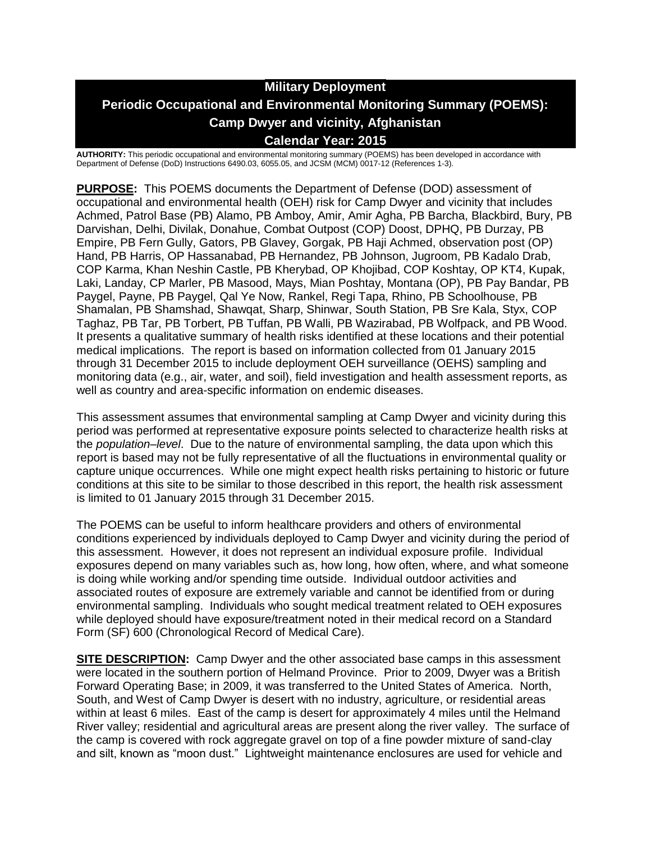# **Military Deployment Periodic Occupational and Environmental Monitoring Summary (POEMS): Camp Dwyer and vicinity, Afghanistan Calendar Year: 2015**

**AUTHORITY:** This periodic occupational and environmental monitoring summary (POEMS) has been developed in accordance with Department of Defense (DoD) Instructions 6490.03, 6055.05, and JCSM (MCM) 0017-12 (References 1-3).

**PURPOSE:** This POEMS documents the Department of Defense (DOD) assessment of occupational and environmental health (OEH) risk for Camp Dwyer and vicinity that includes Achmed, Patrol Base (PB) Alamo, PB Amboy, Amir, Amir Agha, PB Barcha, Blackbird, Bury, PB Darvishan, Delhi, Divilak, Donahue, Combat Outpost (COP) Doost, DPHQ, PB Durzay, PB Empire, PB Fern Gully, Gators, PB Glavey, Gorgak, PB Haji Achmed, observation post (OP) Hand, PB Harris, OP Hassanabad, PB Hernandez, PB Johnson, Jugroom, PB Kadalo Drab, COP Karma, Khan Neshin Castle, PB Kherybad, OP Khojibad, COP Koshtay, OP KT4, Kupak, Laki, Landay, CP Marler, PB Masood, Mays, Mian Poshtay, Montana (OP), PB Pay Bandar, PB Paygel, Payne, PB Paygel, Qal Ye Now, Rankel, Regi Tapa, Rhino, PB Schoolhouse, PB Shamalan, PB Shamshad, Shawqat, Sharp, Shinwar, South Station, PB Sre Kala, Styx, COP Taghaz, PB Tar, PB Torbert, PB Tuffan, PB Walli, PB Wazirabad, PB Wolfpack, and PB Wood. It presents a qualitative summary of health risks identified at these locations and their potential medical implications. The report is based on information collected from 01 January 2015 through 31 December 2015 to include deployment OEH surveillance (OEHS) sampling and monitoring data (e.g., air, water, and soil), field investigation and health assessment reports, as well as country and area-specific information on endemic diseases.

This assessment assumes that environmental sampling at Camp Dwyer and vicinity during this period was performed at representative exposure points selected to characterize health risks at the *population–level*. Due to the nature of environmental sampling, the data upon which this report is based may not be fully representative of all the fluctuations in environmental quality or capture unique occurrences. While one might expect health risks pertaining to historic or future conditions at this site to be similar to those described in this report, the health risk assessment is limited to 01 January 2015 through 31 December 2015.

The POEMS can be useful to inform healthcare providers and others of environmental conditions experienced by individuals deployed to Camp Dwyer and vicinity during the period of this assessment. However, it does not represent an individual exposure profile. Individual exposures depend on many variables such as, how long, how often, where, and what someone is doing while working and/or spending time outside. Individual outdoor activities and associated routes of exposure are extremely variable and cannot be identified from or during environmental sampling. Individuals who sought medical treatment related to OEH exposures while deployed should have exposure/treatment noted in their medical record on a Standard Form (SF) 600 (Chronological Record of Medical Care).

**SITE DESCRIPTION:** Camp Dwyer and the other associated base camps in this assessment were located in the southern portion of Helmand Province. Prior to 2009, Dwyer was a British Forward Operating Base; in 2009, it was transferred to the United States of America. North, South, and West of Camp Dwyer is desert with no industry, agriculture, or residential areas within at least 6 miles. East of the camp is desert for approximately 4 miles until the Helmand River valley; residential and agricultural areas are present along the river valley. The surface of the camp is covered with rock aggregate gravel on top of a fine powder mixture of sand-clay and silt, known as "moon dust." Lightweight maintenance enclosures are used for vehicle and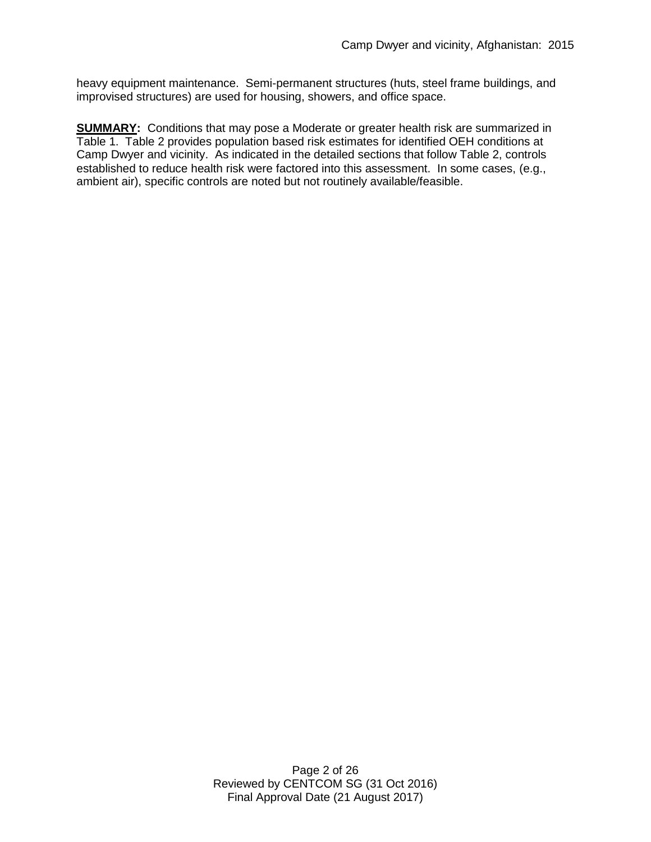heavy equipment maintenance. Semi-permanent structures (huts, steel frame buildings, and improvised structures) are used for housing, showers, and office space.

**SUMMARY:** Conditions that may pose a Moderate or greater health risk are summarized in Table 1. Table 2 provides population based risk estimates for identified OEH conditions at Camp Dwyer and vicinity. As indicated in the detailed sections that follow Table 2, controls established to reduce health risk were factored into this assessment. In some cases, (e.g., ambient air), specific controls are noted but not routinely available/feasible.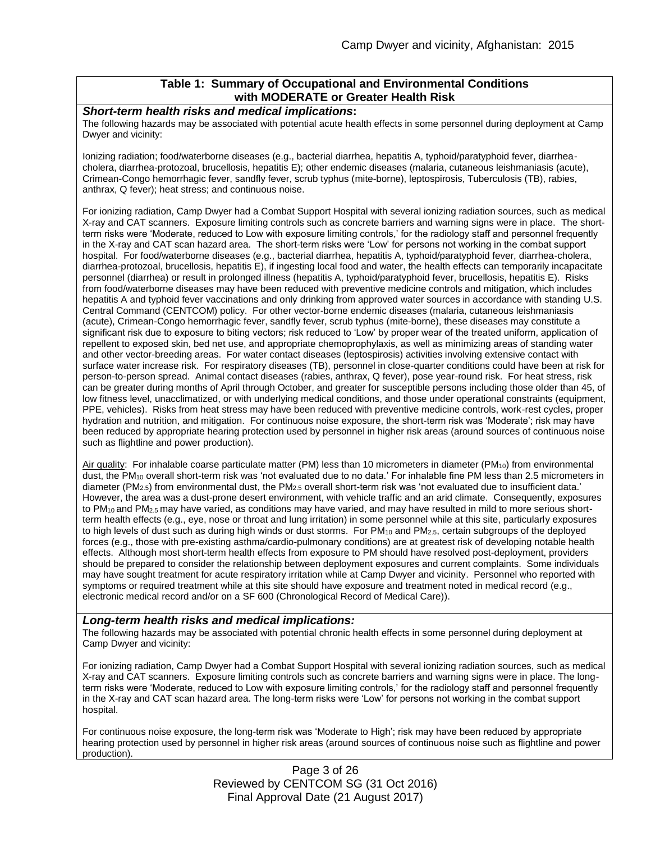### **Table 1: Summary of Occupational and Environmental Conditions with MODERATE or Greater Health Risk**

#### *Short-term health risks and medical implications***:**

The following hazards may be associated with potential acute health effects in some personnel during deployment at Camp Dwyer and vicinity:

Ionizing radiation; food/waterborne diseases (e.g., bacterial diarrhea, hepatitis A, typhoid/paratyphoid fever, diarrheacholera, diarrhea-protozoal, brucellosis, hepatitis E); other endemic diseases (malaria, cutaneous leishmaniasis (acute), Crimean-Congo hemorrhagic fever, sandfly fever, scrub typhus (mite-borne), leptospirosis, Tuberculosis (TB), rabies, anthrax, Q fever); heat stress; and continuous noise.

For ionizing radiation, Camp Dwyer had a Combat Support Hospital with several ionizing radiation sources, such as medical X-ray and CAT scanners. Exposure limiting controls such as concrete barriers and warning signs were in place. The shortterm risks were 'Moderate, reduced to Low with exposure limiting controls,' for the radiology staff and personnel frequently in the X-ray and CAT scan hazard area. The short-term risks were 'Low' for persons not working in the combat support hospital. For food/waterborne diseases (e.g., bacterial diarrhea, hepatitis A, typhoid/paratyphoid fever, diarrhea-cholera, diarrhea-protozoal, brucellosis, hepatitis E), if ingesting local food and water, the health effects can temporarily incapacitate personnel (diarrhea) or result in prolonged illness (hepatitis A, typhoid/paratyphoid fever, brucellosis, hepatitis E). Risks from food/waterborne diseases may have been reduced with preventive medicine controls and mitigation, which includes hepatitis A and typhoid fever vaccinations and only drinking from approved water sources in accordance with standing U.S. Central Command (CENTCOM) policy. For other vector-borne endemic diseases (malaria, cutaneous leishmaniasis (acute), Crimean-Congo hemorrhagic fever, sandfly fever, scrub typhus (mite-borne), these diseases may constitute a significant risk due to exposure to biting vectors; risk reduced to 'Low' by proper wear of the treated uniform, application of repellent to exposed skin, bed net use, and appropriate chemoprophylaxis, as well as minimizing areas of standing water and other vector-breeding areas. For water contact diseases (leptospirosis) activities involving extensive contact with surface water increase risk. For respiratory diseases (TB), personnel in close-quarter conditions could have been at risk for person-to-person spread. Animal contact diseases (rabies, anthrax, Q fever), pose year-round risk. For heat stress, risk can be greater during months of April through October, and greater for susceptible persons including those older than 45, of low fitness level, unacclimatized, or with underlying medical conditions, and those under operational constraints (equipment, PPE, vehicles). Risks from heat stress may have been reduced with preventive medicine controls, work-rest cycles, proper hydration and nutrition, and mitigation. For continuous noise exposure, the short-term risk was 'Moderate'; risk may have been reduced by appropriate hearing protection used by personnel in higher risk areas (around sources of continuous noise such as flightline and power production).

Air quality: For inhalable coarse particulate matter (PM) less than 10 micrometers in diameter (PM<sub>10</sub>) from environmental dust, the PM<sub>10</sub> overall short-term risk was 'not evaluated due to no data.' For inhalable fine PM less than 2.5 micrometers in diameter (PM<sub>2.5</sub>) from environmental dust, the PM<sub>2.5</sub> overall short-term risk was 'not evaluated due to insufficient data.' However, the area was a dust-prone desert environment, with vehicle traffic and an arid climate. Consequently, exposures to PM<sub>10</sub> and PM<sub>2.5</sub> may have varied, as conditions may have varied, and may have resulted in mild to more serious shortterm health effects (e.g., eye, nose or throat and lung irritation) in some personnel while at this site, particularly exposures to high levels of dust such as during high winds or dust storms. For  $PM_{10}$  and  $PM_{2.5}$ , certain subgroups of the deployed forces (e.g., those with pre-existing asthma/cardio-pulmonary conditions) are at greatest risk of developing notable health effects. Although most short-term health effects from exposure to PM should have resolved post-deployment, providers should be prepared to consider the relationship between deployment exposures and current complaints. Some individuals may have sought treatment for acute respiratory irritation while at Camp Dwyer and vicinity. Personnel who reported with symptoms or required treatment while at this site should have exposure and treatment noted in medical record (e.g., electronic medical record and/or on a SF 600 (Chronological Record of Medical Care)).

#### *Long-term health risks and medical implications:*

The following hazards may be associated with potential chronic health effects in some personnel during deployment at Camp Dwyer and vicinity:

For ionizing radiation, Camp Dwyer had a Combat Support Hospital with several ionizing radiation sources, such as medical X-ray and CAT scanners. Exposure limiting controls such as concrete barriers and warning signs were in place. The longterm risks were 'Moderate, reduced to Low with exposure limiting controls,' for the radiology staff and personnel frequently in the X-ray and CAT scan hazard area. The long-term risks were 'Low' for persons not working in the combat support hospital.

For continuous noise exposure, the long-term risk was 'Moderate to High'; risk may have been reduced by appropriate hearing protection used by personnel in higher risk areas (around sources of continuous noise such as flightline and power production).

> Page 3 of 26 Reviewed by CENTCOM SG (31 Oct 2016) Final Approval Date (21 August 2017)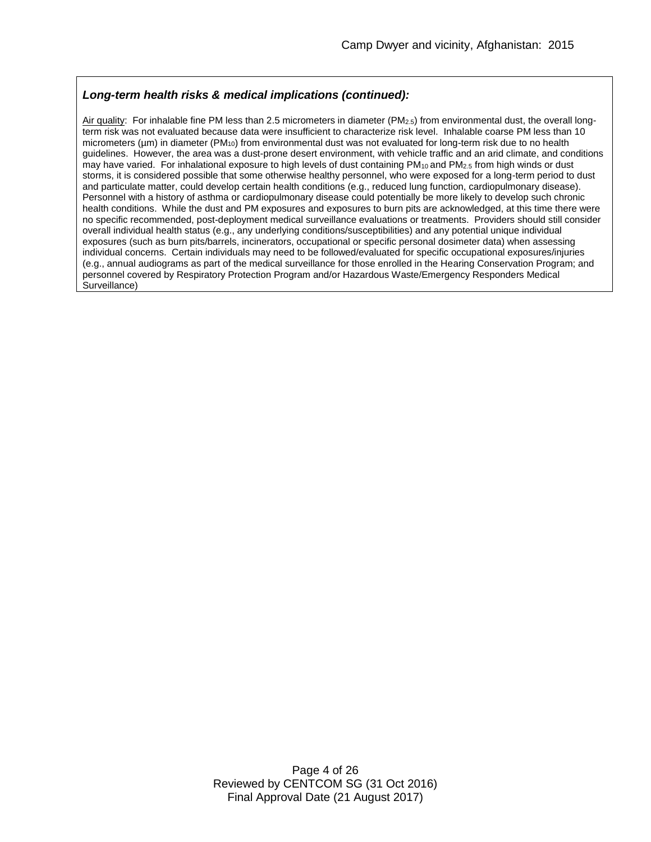### *Long-term health risks & medical implications (continued):*

Air quality: For inhalable fine PM less than 2.5 micrometers in diameter ( $PM_{2.5}$ ) from environmental dust, the overall longterm risk was not evaluated because data were insufficient to characterize risk level. Inhalable coarse PM less than 10 micrometers (µm) in diameter (PM<sub>10</sub>) from environmental dust was not evaluated for long-term risk due to no health guidelines. However, the area was a dust-prone desert environment, with vehicle traffic and an arid climate, and conditions may have varied. For inhalational exposure to high levels of dust containing PM<sub>10</sub> and PM<sub>2.5</sub> from high winds or dust storms, it is considered possible that some otherwise healthy personnel, who were exposed for a long-term period to dust and particulate matter, could develop certain health conditions (e.g., reduced lung function, cardiopulmonary disease). Personnel with a history of asthma or cardiopulmonary disease could potentially be more likely to develop such chronic health conditions. While the dust and PM exposures and exposures to burn pits are acknowledged, at this time there were no specific recommended, post-deployment medical surveillance evaluations or treatments. Providers should still consider overall individual health status (e.g., any underlying conditions/susceptibilities) and any potential unique individual exposures (such as burn pits/barrels, incinerators, occupational or specific personal dosimeter data) when assessing individual concerns. Certain individuals may need to be followed/evaluated for specific occupational exposures/injuries (e.g., annual audiograms as part of the medical surveillance for those enrolled in the Hearing Conservation Program; and personnel covered by Respiratory Protection Program and/or Hazardous Waste/Emergency Responders Medical .<br>Surveillance)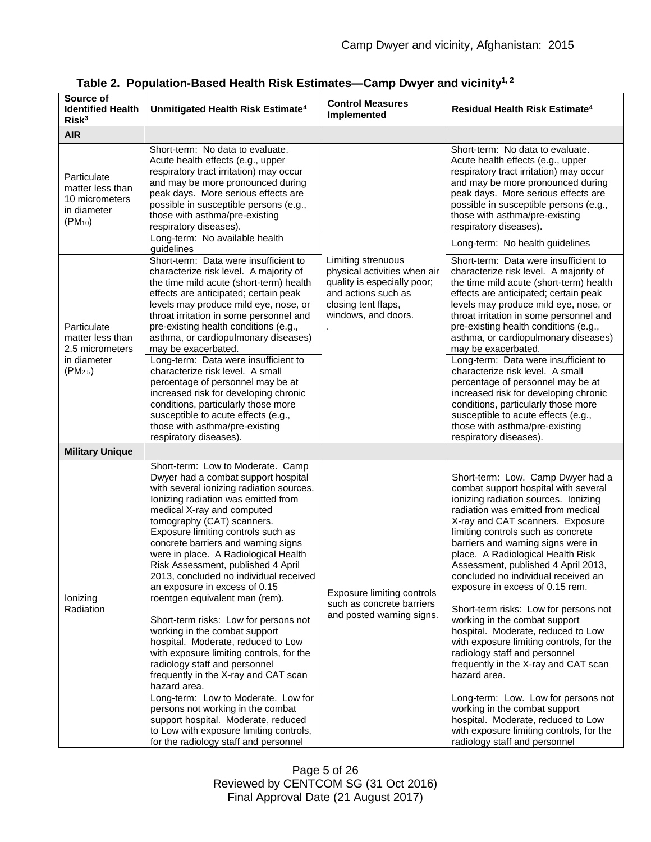| Source of<br><b>Identified Health</b><br>Risk <sup>3</sup>                                | Unmitigated Health Risk Estimate <sup>4</sup>                                                                                                                                                                                                                                                                                                                                                                                                                                                                                                                                                                                                                                                                                                                                                                                                                                                                                                               | <b>Control Measures</b><br>Implemented                                                                                                                 | Residual Health Risk Estimate <sup>4</sup>                                                                                                                                                                                                                                                                                                                                                                                                                                                                                                                                                                                                                                                                                                                                                                                                                                    |
|-------------------------------------------------------------------------------------------|-------------------------------------------------------------------------------------------------------------------------------------------------------------------------------------------------------------------------------------------------------------------------------------------------------------------------------------------------------------------------------------------------------------------------------------------------------------------------------------------------------------------------------------------------------------------------------------------------------------------------------------------------------------------------------------------------------------------------------------------------------------------------------------------------------------------------------------------------------------------------------------------------------------------------------------------------------------|--------------------------------------------------------------------------------------------------------------------------------------------------------|-------------------------------------------------------------------------------------------------------------------------------------------------------------------------------------------------------------------------------------------------------------------------------------------------------------------------------------------------------------------------------------------------------------------------------------------------------------------------------------------------------------------------------------------------------------------------------------------------------------------------------------------------------------------------------------------------------------------------------------------------------------------------------------------------------------------------------------------------------------------------------|
| <b>AIR</b>                                                                                |                                                                                                                                                                                                                                                                                                                                                                                                                                                                                                                                                                                                                                                                                                                                                                                                                                                                                                                                                             |                                                                                                                                                        |                                                                                                                                                                                                                                                                                                                                                                                                                                                                                                                                                                                                                                                                                                                                                                                                                                                                               |
| Particulate<br>matter less than<br>10 micrometers<br>in diameter<br>$(PM_{10})$           | Short-term: No data to evaluate.<br>Acute health effects (e.g., upper<br>respiratory tract irritation) may occur<br>and may be more pronounced during<br>peak days. More serious effects are<br>possible in susceptible persons (e.g.,<br>those with asthma/pre-existing<br>respiratory diseases).<br>Long-term: No available health                                                                                                                                                                                                                                                                                                                                                                                                                                                                                                                                                                                                                        |                                                                                                                                                        | Short-term: No data to evaluate.<br>Acute health effects (e.g., upper<br>respiratory tract irritation) may occur<br>and may be more pronounced during<br>peak days. More serious effects are<br>possible in susceptible persons (e.g.,<br>those with asthma/pre-existing<br>respiratory diseases).<br>Long-term: No health guidelines                                                                                                                                                                                                                                                                                                                                                                                                                                                                                                                                         |
| Particulate<br>matter less than<br>2.5 micrometers<br>in diameter<br>(PM <sub>2.5</sub> ) | guidelines<br>Short-term: Data were insufficient to<br>characterize risk level. A majority of<br>the time mild acute (short-term) health<br>effects are anticipated; certain peak<br>levels may produce mild eye, nose, or<br>throat irritation in some personnel and<br>pre-existing health conditions (e.g.,<br>asthma, or cardiopulmonary diseases)<br>may be exacerbated.<br>Long-term: Data were insufficient to<br>characterize risk level. A small<br>percentage of personnel may be at<br>increased risk for developing chronic<br>conditions, particularly those more<br>susceptible to acute effects (e.g.,<br>those with asthma/pre-existing<br>respiratory diseases).                                                                                                                                                                                                                                                                           | Limiting strenuous<br>physical activities when air<br>quality is especially poor;<br>and actions such as<br>closing tent flaps,<br>windows, and doors. | Short-term: Data were insufficient to<br>characterize risk level. A majority of<br>the time mild acute (short-term) health<br>effects are anticipated; certain peak<br>levels may produce mild eye, nose, or<br>throat irritation in some personnel and<br>pre-existing health conditions (e.g.,<br>asthma, or cardiopulmonary diseases)<br>may be exacerbated.<br>Long-term: Data were insufficient to<br>characterize risk level. A small<br>percentage of personnel may be at<br>increased risk for developing chronic<br>conditions, particularly those more<br>susceptible to acute effects (e.g.,<br>those with asthma/pre-existing<br>respiratory diseases).                                                                                                                                                                                                           |
| <b>Military Unique</b>                                                                    |                                                                                                                                                                                                                                                                                                                                                                                                                                                                                                                                                                                                                                                                                                                                                                                                                                                                                                                                                             |                                                                                                                                                        |                                                                                                                                                                                                                                                                                                                                                                                                                                                                                                                                                                                                                                                                                                                                                                                                                                                                               |
| lonizing<br>Radiation                                                                     | Short-term: Low to Moderate. Camp<br>Dwyer had a combat support hospital<br>with several ionizing radiation sources.<br>lonizing radiation was emitted from<br>medical X-ray and computed<br>tomography (CAT) scanners.<br>Exposure limiting controls such as<br>concrete barriers and warning signs<br>were in place. A Radiological Health<br>Risk Assessment, published 4 April<br>2013, concluded no individual received<br>an exposure in excess of 0.15<br>roentgen equivalent man (rem).<br>Short-term risks: Low for persons not<br>working in the combat support<br>hospital. Moderate, reduced to Low<br>with exposure limiting controls, for the<br>radiology staff and personnel<br>frequently in the X-ray and CAT scan<br>hazard area.<br>Long-term: Low to Moderate. Low for<br>persons not working in the combat<br>support hospital. Moderate, reduced<br>to Low with exposure limiting controls,<br>for the radiology staff and personnel | <b>Exposure limiting controls</b><br>such as concrete barriers<br>and posted warning signs.                                                            | Short-term: Low. Camp Dwyer had a<br>combat support hospital with several<br>ionizing radiation sources. lonizing<br>radiation was emitted from medical<br>X-ray and CAT scanners. Exposure<br>limiting controls such as concrete<br>barriers and warning signs were in<br>place. A Radiological Health Risk<br>Assessment, published 4 April 2013,<br>concluded no individual received an<br>exposure in excess of 0.15 rem.<br>Short-term risks: Low for persons not<br>working in the combat support<br>hospital. Moderate, reduced to Low<br>with exposure limiting controls, for the<br>radiology staff and personnel<br>frequently in the X-ray and CAT scan<br>hazard area.<br>Long-term: Low. Low for persons not<br>working in the combat support<br>hospital. Moderate, reduced to Low<br>with exposure limiting controls, for the<br>radiology staff and personnel |

|  |  |  |  | Table 2. Population-Based Health Risk Estimates—Camp Dwyer and vicinity <sup>1, 2</sup> |  |  |  |
|--|--|--|--|-----------------------------------------------------------------------------------------|--|--|--|
|--|--|--|--|-----------------------------------------------------------------------------------------|--|--|--|

Page 5 of 26 Reviewed by CENTCOM SG (31 Oct 2016) Final Approval Date (21 August 2017)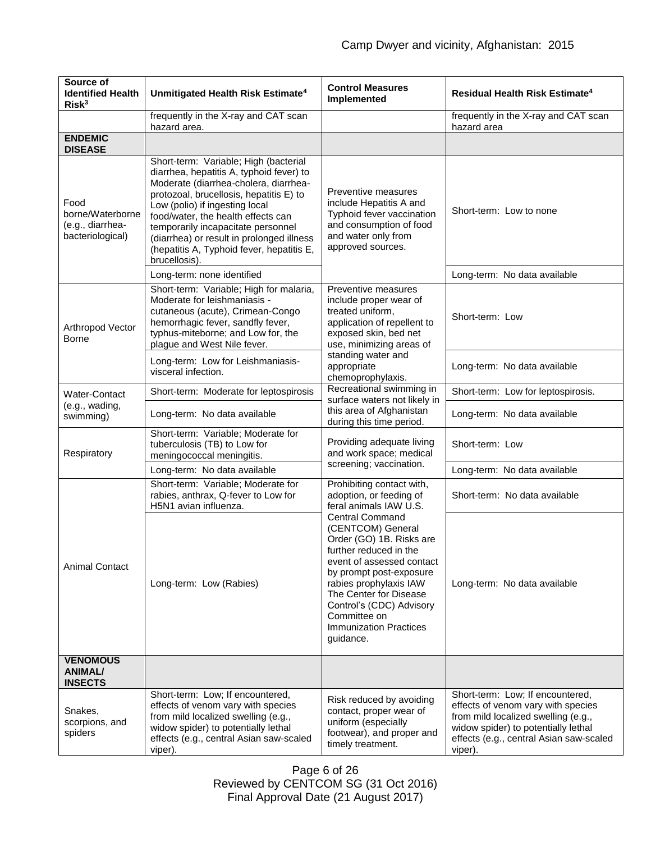| Source of<br><b>Identified Health</b><br>Risk <sup>3</sup>       | Unmitigated Health Risk Estimate <sup>4</sup>                                                                                                                                                                                                                                                                                                                                                  | <b>Control Measures</b><br>Implemented                                                                                                                                                                                                                                                                  | Residual Health Risk Estimate <sup>4</sup>                                                                                                                                                                 |
|------------------------------------------------------------------|------------------------------------------------------------------------------------------------------------------------------------------------------------------------------------------------------------------------------------------------------------------------------------------------------------------------------------------------------------------------------------------------|---------------------------------------------------------------------------------------------------------------------------------------------------------------------------------------------------------------------------------------------------------------------------------------------------------|------------------------------------------------------------------------------------------------------------------------------------------------------------------------------------------------------------|
|                                                                  | frequently in the X-ray and CAT scan<br>hazard area.                                                                                                                                                                                                                                                                                                                                           |                                                                                                                                                                                                                                                                                                         | frequently in the X-ray and CAT scan<br>hazard area                                                                                                                                                        |
| <b>ENDEMIC</b><br><b>DISEASE</b>                                 |                                                                                                                                                                                                                                                                                                                                                                                                |                                                                                                                                                                                                                                                                                                         |                                                                                                                                                                                                            |
| Food<br>borne/Waterborne<br>(e.g., diarrhea-<br>bacteriological) | Short-term: Variable; High (bacterial<br>diarrhea, hepatitis A, typhoid fever) to<br>Moderate (diarrhea-cholera, diarrhea-<br>protozoal, brucellosis, hepatitis E) to<br>Low (polio) if ingesting local<br>food/water, the health effects can<br>temporarily incapacitate personnel<br>(diarrhea) or result in prolonged illness<br>(hepatitis A, Typhoid fever, hepatitis E,<br>brucellosis). | Preventive measures<br>include Hepatitis A and<br>Typhoid fever vaccination<br>and consumption of food<br>and water only from<br>approved sources.                                                                                                                                                      | Short-term: Low to none                                                                                                                                                                                    |
|                                                                  | Long-term: none identified                                                                                                                                                                                                                                                                                                                                                                     |                                                                                                                                                                                                                                                                                                         | Long-term: No data available                                                                                                                                                                               |
| Arthropod Vector<br>Borne                                        | Short-term: Variable; High for malaria,<br>Preventive measures<br>Moderate for leishmaniasis -<br>include proper wear of<br>treated uniform,<br>cutaneous (acute), Crimean-Congo<br>hemorrhagic fever, sandfly fever,<br>typhus-miteborne; and Low for, the<br>exposed skin, bed net<br>plague and West Nile fever.                                                                            | application of repellent to<br>use, minimizing areas of                                                                                                                                                                                                                                                 | Short-term: Low                                                                                                                                                                                            |
|                                                                  | Long-term: Low for Leishmaniasis-<br>visceral infection.                                                                                                                                                                                                                                                                                                                                       | standing water and<br>appropriate<br>chemoprophylaxis.                                                                                                                                                                                                                                                  | Long-term: No data available                                                                                                                                                                               |
| Water-Contact                                                    | Short-term: Moderate for leptospirosis                                                                                                                                                                                                                                                                                                                                                         | Recreational swimming in<br>surface waters not likely in                                                                                                                                                                                                                                                | Short-term: Low for leptospirosis.                                                                                                                                                                         |
| (e.g., wading,<br>swimming)                                      | Long-term: No data available                                                                                                                                                                                                                                                                                                                                                                   | this area of Afghanistan<br>during this time period.                                                                                                                                                                                                                                                    | Long-term: No data available                                                                                                                                                                               |
| Respiratory                                                      | Short-term: Variable; Moderate for<br>tuberculosis (TB) to Low for<br>meningococcal meningitis.                                                                                                                                                                                                                                                                                                | Providing adequate living<br>and work space; medical                                                                                                                                                                                                                                                    | Short-term: Low                                                                                                                                                                                            |
|                                                                  | Long-term: No data available                                                                                                                                                                                                                                                                                                                                                                   | screening; vaccination.                                                                                                                                                                                                                                                                                 | Long-term: No data available                                                                                                                                                                               |
| <b>Animal Contact</b>                                            | Short-term: Variable; Moderate for<br>rabies, anthrax, Q-fever to Low for<br>H5N1 avian influenza.                                                                                                                                                                                                                                                                                             | Prohibiting contact with,<br>adoption, or feeding of<br>feral animals IAW U.S.                                                                                                                                                                                                                          | Short-term: No data available                                                                                                                                                                              |
|                                                                  | Long-term: Low (Rabies)                                                                                                                                                                                                                                                                                                                                                                        | <b>Central Command</b><br>(CENTCOM) General<br>Order (GO) 1B. Risks are<br>further reduced in the<br>event of assessed contact<br>by prompt post-exposure<br>rabies prophylaxis IAW<br>The Center for Disease<br>Control's (CDC) Advisory<br>Committee on<br><b>Immunization Practices</b><br>guidance. | Long-term: No data available                                                                                                                                                                               |
| <b>VENOMOUS</b><br><b>ANIMAL/</b><br><b>INSECTS</b>              |                                                                                                                                                                                                                                                                                                                                                                                                |                                                                                                                                                                                                                                                                                                         |                                                                                                                                                                                                            |
| Snakes,<br>scorpions, and<br>spiders                             | Short-term: Low; If encountered,<br>effects of venom vary with species<br>from mild localized swelling (e.g.,<br>widow spider) to potentially lethal<br>effects (e.g., central Asian saw-scaled<br>viper).                                                                                                                                                                                     | Risk reduced by avoiding<br>contact, proper wear of<br>uniform (especially<br>footwear), and proper and<br>timely treatment.                                                                                                                                                                            | Short-term: Low; If encountered,<br>effects of venom vary with species<br>from mild localized swelling (e.g.,<br>widow spider) to potentially lethal<br>effects (e.g., central Asian saw-scaled<br>viper). |

Page 6 of 26 Reviewed by CENTCOM SG (31 Oct 2016) Final Approval Date (21 August 2017)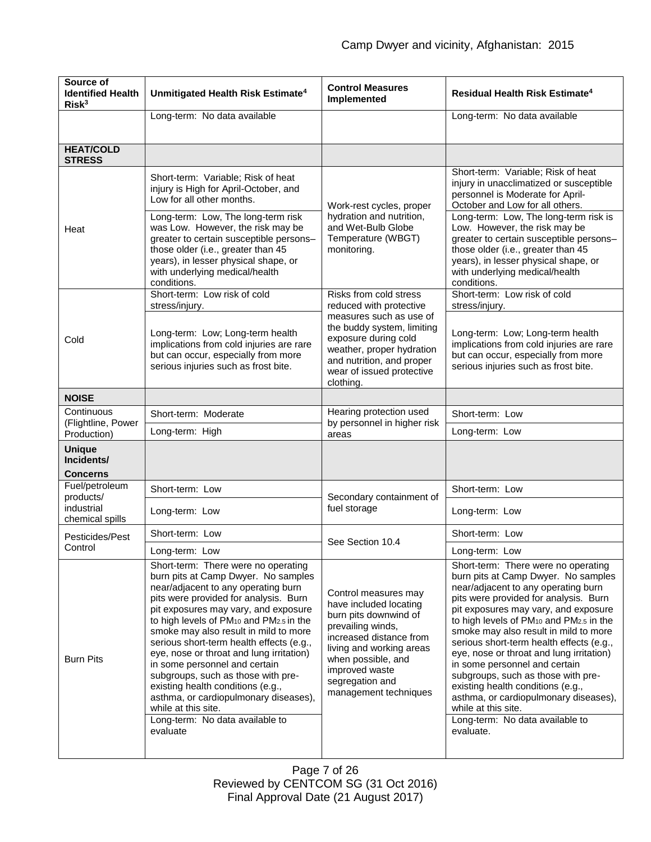| Source of<br><b>Identified Health</b><br>Risk <sup>3</sup> | Unmitigated Health Risk Estimate <sup>4</sup>                                                                                                                                                                                                                                                                                                                                                                                                                                                                                                                                                                       | <b>Control Measures</b><br>Implemented                                                                                                                                                                                                  | Residual Health Risk Estimate <sup>4</sup>                                                                                                                                                                                                                                                                                                                                                                                                                                                                                                                                                                                         |
|------------------------------------------------------------|---------------------------------------------------------------------------------------------------------------------------------------------------------------------------------------------------------------------------------------------------------------------------------------------------------------------------------------------------------------------------------------------------------------------------------------------------------------------------------------------------------------------------------------------------------------------------------------------------------------------|-----------------------------------------------------------------------------------------------------------------------------------------------------------------------------------------------------------------------------------------|------------------------------------------------------------------------------------------------------------------------------------------------------------------------------------------------------------------------------------------------------------------------------------------------------------------------------------------------------------------------------------------------------------------------------------------------------------------------------------------------------------------------------------------------------------------------------------------------------------------------------------|
|                                                            | Long-term: No data available                                                                                                                                                                                                                                                                                                                                                                                                                                                                                                                                                                                        |                                                                                                                                                                                                                                         | Long-term: No data available                                                                                                                                                                                                                                                                                                                                                                                                                                                                                                                                                                                                       |
| <b>HEAT/COLD</b><br><b>STRESS</b>                          |                                                                                                                                                                                                                                                                                                                                                                                                                                                                                                                                                                                                                     |                                                                                                                                                                                                                                         |                                                                                                                                                                                                                                                                                                                                                                                                                                                                                                                                                                                                                                    |
| Heat                                                       | Short-term: Variable; Risk of heat<br>injury is High for April-October, and<br>Low for all other months.<br>Long-term: Low, The long-term risk<br>was Low. However, the risk may be<br>greater to certain susceptible persons-<br>those older (i.e., greater than 45<br>years), in lesser physical shape, or<br>with underlying medical/health<br>conditions.                                                                                                                                                                                                                                                       | Work-rest cycles, proper<br>hydration and nutrition,<br>and Wet-Bulb Globe<br>Temperature (WBGT)<br>monitoring.                                                                                                                         | Short-term: Variable; Risk of heat<br>injury in unacclimatized or susceptible<br>personnel is Moderate for April-<br>October and Low for all others.<br>Long-term: Low, The long-term risk is<br>Low. However, the risk may be<br>greater to certain susceptible persons-<br>those older (i.e., greater than 45<br>years), in lesser physical shape, or<br>with underlying medical/health<br>conditions.                                                                                                                                                                                                                           |
| Cold                                                       | Short-term: Low risk of cold<br>stress/injury.<br>Long-term: Low; Long-term health<br>implications from cold injuries are rare<br>but can occur, especially from more<br>serious injuries such as frost bite.                                                                                                                                                                                                                                                                                                                                                                                                       | Risks from cold stress<br>reduced with protective<br>measures such as use of<br>the buddy system, limiting<br>exposure during cold<br>weather, proper hydration<br>and nutrition, and proper<br>wear of issued protective<br>clothing.  | Short-term: Low risk of cold<br>stress/injury.<br>Long-term: Low; Long-term health<br>implications from cold injuries are rare<br>but can occur, especially from more<br>serious injuries such as frost bite.                                                                                                                                                                                                                                                                                                                                                                                                                      |
| <b>NOISE</b>                                               |                                                                                                                                                                                                                                                                                                                                                                                                                                                                                                                                                                                                                     |                                                                                                                                                                                                                                         |                                                                                                                                                                                                                                                                                                                                                                                                                                                                                                                                                                                                                                    |
| Continuous<br>(Flightline, Power                           | Short-term: Moderate                                                                                                                                                                                                                                                                                                                                                                                                                                                                                                                                                                                                | Hearing protection used<br>by personnel in higher risk                                                                                                                                                                                  | Short-term: Low                                                                                                                                                                                                                                                                                                                                                                                                                                                                                                                                                                                                                    |
| Production)                                                | Long-term: High                                                                                                                                                                                                                                                                                                                                                                                                                                                                                                                                                                                                     | areas                                                                                                                                                                                                                                   | Long-term: Low                                                                                                                                                                                                                                                                                                                                                                                                                                                                                                                                                                                                                     |
| <b>Unique</b><br>Incidents/<br><b>Concerns</b>             |                                                                                                                                                                                                                                                                                                                                                                                                                                                                                                                                                                                                                     |                                                                                                                                                                                                                                         |                                                                                                                                                                                                                                                                                                                                                                                                                                                                                                                                                                                                                                    |
| Fuel/petroleum                                             | Short-term: Low                                                                                                                                                                                                                                                                                                                                                                                                                                                                                                                                                                                                     |                                                                                                                                                                                                                                         | Short-term: Low                                                                                                                                                                                                                                                                                                                                                                                                                                                                                                                                                                                                                    |
| products/<br>industrial<br>chemical spills                 | Long-term: Low                                                                                                                                                                                                                                                                                                                                                                                                                                                                                                                                                                                                      | Secondary containment of<br>fuel storage                                                                                                                                                                                                | Long-term: Low                                                                                                                                                                                                                                                                                                                                                                                                                                                                                                                                                                                                                     |
| Pesticides/Pest                                            | Short-term: Low                                                                                                                                                                                                                                                                                                                                                                                                                                                                                                                                                                                                     | See Section 10.4                                                                                                                                                                                                                        | Short-term: Low                                                                                                                                                                                                                                                                                                                                                                                                                                                                                                                                                                                                                    |
| Control                                                    | Long-term: Low                                                                                                                                                                                                                                                                                                                                                                                                                                                                                                                                                                                                      |                                                                                                                                                                                                                                         | Long-term: Low                                                                                                                                                                                                                                                                                                                                                                                                                                                                                                                                                                                                                     |
| <b>Burn Pits</b>                                           | Short-term: There were no operating<br>burn pits at Camp Dwyer. No samples<br>near/adjacent to any operating burn<br>pits were provided for analysis. Burn<br>pit exposures may vary, and exposure<br>to high levels of $PM_{10}$ and $PM_{2.5}$ in the<br>smoke may also result in mild to more<br>serious short-term health effects (e.g.,<br>eye, nose or throat and lung irritation)<br>in some personnel and certain<br>subgroups, such as those with pre-<br>existing health conditions (e.g.,<br>asthma, or cardiopulmonary diseases),<br>while at this site.<br>Long-term: No data available to<br>evaluate | Control measures may<br>have included locating<br>burn pits downwind of<br>prevailing winds,<br>increased distance from<br>living and working areas<br>when possible, and<br>improved waste<br>segregation and<br>management techniques | Short-term: There were no operating<br>burn pits at Camp Dwyer. No samples<br>near/adjacent to any operating burn<br>pits were provided for analysis. Burn<br>pit exposures may vary, and exposure<br>to high levels of PM <sub>10</sub> and PM <sub>2.5</sub> in the<br>smoke may also result in mild to more<br>serious short-term health effects (e.g.,<br>eye, nose or throat and lung irritation)<br>in some personnel and certain<br>subgroups, such as those with pre-<br>existing health conditions (e.g.,<br>asthma, or cardiopulmonary diseases),<br>while at this site.<br>Long-term: No data available to<br>evaluate. |

Page 7 of 26 Reviewed by CENTCOM SG (31 Oct 2016) Final Approval Date (21 August 2017)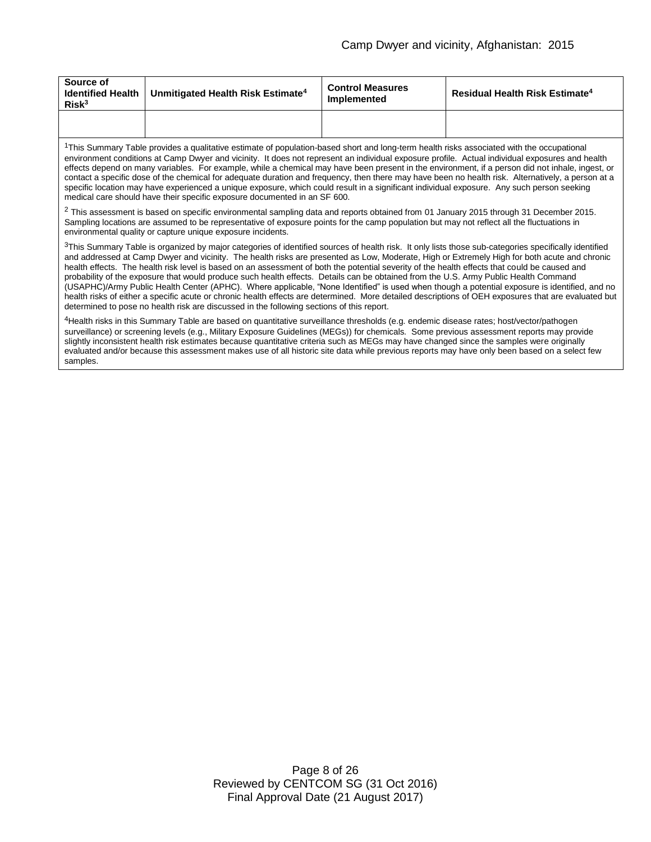| Source of<br>Risk <sup>3</sup> | Identified Health   Unmitigated Health Risk Estimate <sup>4</sup> | <b>Control Measures</b><br>Implemented | Residual Health Risk Estimate <sup>4</sup> |
|--------------------------------|-------------------------------------------------------------------|----------------------------------------|--------------------------------------------|
|                                |                                                                   |                                        |                                            |

<sup>1</sup>This Summary Table provides a qualitative estimate of population-based short and long-term health risks associated with the occupational environment conditions at Camp Dwyer and vicinity. It does not represent an individual exposure profile. Actual individual exposures and health effects depend on many variables. For example, while a chemical may have been present in the environment, if a person did not inhale, ingest, or contact a specific dose of the chemical for adequate duration and frequency, then there may have been no health risk. Alternatively, a person at a specific location may have experienced a unique exposure, which could result in a significant individual exposure. Any such person seeking medical care should have their specific exposure documented in an SF 600.

<sup>2</sup> This assessment is based on specific environmental sampling data and reports obtained from 01 January 2015 through 31 December 2015. Sampling locations are assumed to be representative of exposure points for the camp population but may not reflect all the fluctuations in environmental quality or capture unique exposure incidents.

 $3$ This Summary Table is organized by major categories of identified sources of health risk. It only lists those sub-categories specifically identified and addressed at Camp Dwyer and vicinity. The health risks are presented as Low, Moderate, High or Extremely High for both acute and chronic health effects. The health risk level is based on an assessment of both the potential severity of the health effects that could be caused and probability of the exposure that would produce such health effects. Details can be obtained from the U.S. Army Public Health Command (USAPHC)/Army Public Health Center (APHC). Where applicable, "None Identified" is used when though a potential exposure is identified, and no health risks of either a specific acute or chronic health effects are determined. More detailed descriptions of OEH exposures that are evaluated but determined to pose no health risk are discussed in the following sections of this report.

<sup>4</sup>Health risks in this Summary Table are based on quantitative surveillance thresholds (e.g. endemic disease rates; host/vector/pathogen surveillance) or screening levels (e.g., Military Exposure Guidelines (MEGs)) for chemicals*.* Some previous assessment reports may provide slightly inconsistent health risk estimates because quantitative criteria such as MEGs may have changed since the samples were originally evaluated and/or because this assessment makes use of all historic site data while previous reports may have only been based on a select few samples.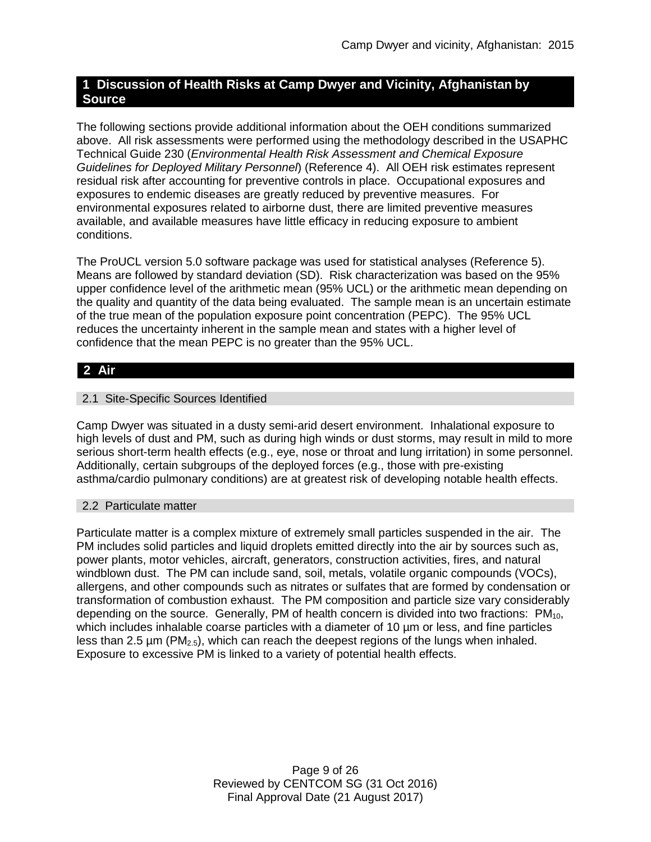# **1 Discussion of Health Risks at Camp Dwyer and Vicinity, Afghanistan by Source**

The following sections provide additional information about the OEH conditions summarized above. All risk assessments were performed using the methodology described in the USAPHC Technical Guide 230 (*Environmental Health Risk Assessment and Chemical Exposure Guidelines for Deployed Military Personnel*) (Reference 4). All OEH risk estimates represent residual risk after accounting for preventive controls in place. Occupational exposures and exposures to endemic diseases are greatly reduced by preventive measures. For environmental exposures related to airborne dust, there are limited preventive measures available, and available measures have little efficacy in reducing exposure to ambient conditions.

The ProUCL version 5.0 software package was used for statistical analyses (Reference 5). Means are followed by standard deviation (SD). Risk characterization was based on the 95% upper confidence level of the arithmetic mean (95% UCL) or the arithmetic mean depending on the quality and quantity of the data being evaluated. The sample mean is an uncertain estimate of the true mean of the population exposure point concentration (PEPC). The 95% UCL reduces the uncertainty inherent in the sample mean and states with a higher level of confidence that the mean PEPC is no greater than the 95% UCL.

# **2 Air**

# 2.1 Site-Specific Sources Identified

Camp Dwyer was situated in a dusty semi-arid desert environment. Inhalational exposure to high levels of dust and PM, such as during high winds or dust storms, may result in mild to more serious short-term health effects (e.g., eye, nose or throat and lung irritation) in some personnel. Additionally, certain subgroups of the deployed forces (e.g., those with pre-existing asthma/cardio pulmonary conditions) are at greatest risk of developing notable health effects.

### 2.2 Particulate matter

Particulate matter is a complex mixture of extremely small particles suspended in the air. The PM includes solid particles and liquid droplets emitted directly into the air by sources such as, power plants, motor vehicles, aircraft, generators, construction activities, fires, and natural windblown dust. The PM can include sand, soil, metals, volatile organic compounds (VOCs), allergens, and other compounds such as nitrates or sulfates that are formed by condensation or transformation of combustion exhaust. The PM composition and particle size vary considerably depending on the source. Generally, PM of health concern is divided into two fractions:  $PM_{10}$ , which includes inhalable coarse particles with a diameter of 10  $\mu$ m or less, and fine particles less than 2.5  $\mu$ m (PM<sub>2.5</sub>), which can reach the deepest regions of the lungs when inhaled. Exposure to excessive PM is linked to a variety of potential health effects.

> Page 9 of 26 Reviewed by CENTCOM SG (31 Oct 2016) Final Approval Date (21 August 2017)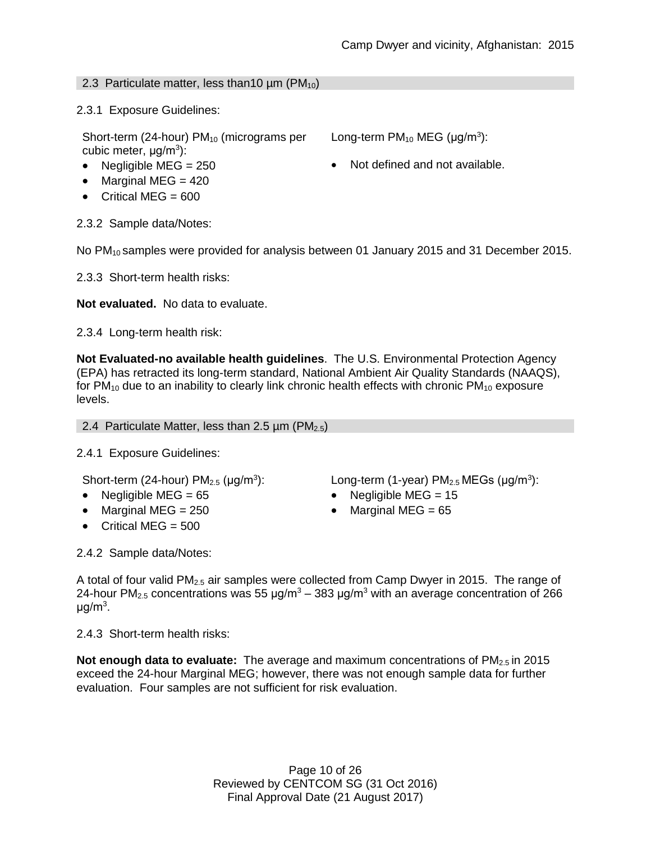### 2.3 Particulate matter, less than 10  $\mu$ m (PM<sub>10</sub>)

2.3.1 Exposure Guidelines:

Short-term (24-hour)  $PM_{10}$  (micrograms per cubic meter, μg/m<sup>3</sup>):

- 
- $\bullet$  Marginal MEG = 420
- $\bullet$  Critical MEG = 600

2.3.2 Sample data/Notes:

No PM<sub>10</sub> samples were provided for analysis between 01 January 2015 and 31 December 2015.

2.3.3 Short-term health risks:

**Not evaluated.** No data to evaluate.

2.3.4 Long-term health risk:

**Not Evaluated-no available health guidelines**. The U.S. Environmental Protection Agency (EPA) has retracted its long-term standard, National Ambient Air Quality Standards (NAAQS), for  $PM_{10}$  due to an inability to clearly link chronic health effects with chronic  $PM_{10}$  exposure levels.

2.4 Particulate Matter, less than 2.5  $\mu$ m (PM<sub>2.5</sub>)

2.4.1 Exposure Guidelines:

Short-term (24-hour)  $PM<sub>2.5</sub>$  ( $\mu q/m<sup>3</sup>$ ):

- Negligible MEG = 65 Negligible MEG = 15
- Marginal MEG = 250 Marginal MEG = 65
- $\bullet$  Critical MEG = 500

 $\therefore$  Long-term (1-year) PM<sub>2.5</sub> MEGs ( $\mu$ g/m<sup>3</sup>):

2.4.2 Sample data/Notes:

A total of four valid PM2.5 air samples were collected from Camp Dwyer in 2015. The range of 24-hour PM<sub>2.5</sub> concentrations was 55  $\mu$ g/m<sup>3</sup> – 383  $\mu$ g/m<sup>3</sup> with an average concentration of 266 μg/m $^3$ .

2.4.3 Short-term health risks:

**Not enough data to evaluate:** The average and maximum concentrations of PM<sub>2.5</sub> in 2015 exceed the 24-hour Marginal MEG; however, there was not enough sample data for further evaluation. Four samples are not sufficient for risk evaluation.

> Page 10 of 26 Reviewed by CENTCOM SG (31 Oct 2016) Final Approval Date (21 August 2017)

Long-term  $PM_{10}$  MEG ( $\mu$ g/m<sup>3</sup>):

• Negligible MEG =  $250$   $\bullet$  Not defined and not available.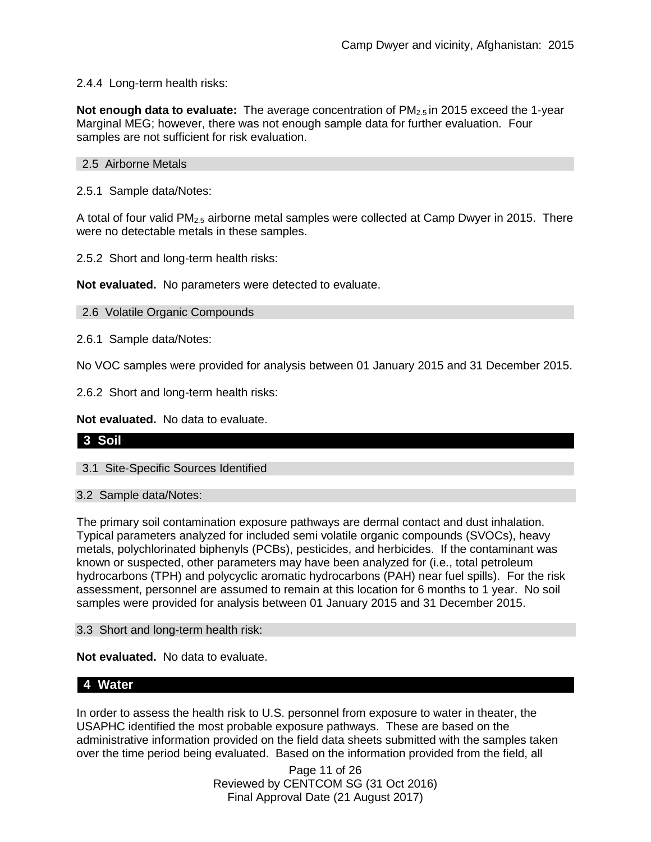# 2.4.4 Long-term health risks:

**Not enough data to evaluate:** The average concentration of PM<sub>2.5</sub> in 2015 exceed the 1-year Marginal MEG; however, there was not enough sample data for further evaluation. Four samples are not sufficient for risk evaluation.

### 2.5 Airborne Metals

2.5.1 Sample data/Notes:

A total of four valid PM2.5 airborne metal samples were collected at Camp Dwyer in 2015. There were no detectable metals in these samples.

2.5.2 Short and long-term health risks:

**Not evaluated.** No parameters were detected to evaluate.

#### 2.6 Volatile Organic Compounds

2.6.1 Sample data/Notes:

No VOC samples were provided for analysis between 01 January 2015 and 31 December 2015.

2.6.2 Short and long-term health risks:

**Not evaluated.** No data to evaluate.

### **3 Soil**

3.1 Site-Specific Sources Identified

#### 3.2 Sample data/Notes:

The primary soil contamination exposure pathways are dermal contact and dust inhalation. Typical parameters analyzed for included semi volatile organic compounds (SVOCs), heavy metals, polychlorinated biphenyls (PCBs), pesticides, and herbicides. If the contaminant was known or suspected, other parameters may have been analyzed for (i.e., total petroleum hydrocarbons (TPH) and polycyclic aromatic hydrocarbons (PAH) near fuel spills). For the risk assessment, personnel are assumed to remain at this location for 6 months to 1 year. No soil samples were provided for analysis between 01 January 2015 and 31 December 2015.

3.3 Short and long-term health risk:

**Not evaluated.** No data to evaluate.

## **4 Water**

In order to assess the health risk to U.S. personnel from exposure to water in theater, the USAPHC identified the most probable exposure pathways. These are based on the administrative information provided on the field data sheets submitted with the samples taken over the time period being evaluated. Based on the information provided from the field, all

> Page 11 of 26 Reviewed by CENTCOM SG (31 Oct 2016) Final Approval Date (21 August 2017)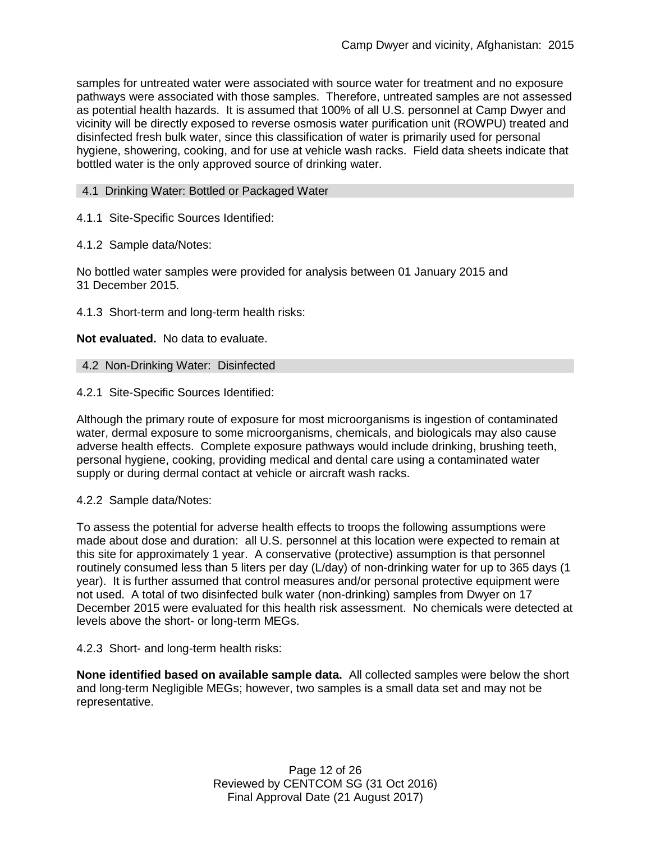samples for untreated water were associated with source water for treatment and no exposure pathways were associated with those samples. Therefore, untreated samples are not assessed as potential health hazards. It is assumed that 100% of all U.S. personnel at Camp Dwyer and vicinity will be directly exposed to reverse osmosis water purification unit (ROWPU) treated and disinfected fresh bulk water, since this classification of water is primarily used for personal hygiene, showering, cooking, and for use at vehicle wash racks. Field data sheets indicate that bottled water is the only approved source of drinking water.

### 4.1 Drinking Water: Bottled or Packaged Water

4.1.1 Site-Specific Sources Identified:

4.1.2 Sample data/Notes:

No bottled water samples were provided for analysis between 01 January 2015 and 31 December 2015.

4.1.3 Short-term and long-term health risks:

**Not evaluated.** No data to evaluate.

4.2 Non-Drinking Water: Disinfected

4.2.1 Site-Specific Sources Identified:

Although the primary route of exposure for most microorganisms is ingestion of contaminated water, dermal exposure to some microorganisms, chemicals, and biologicals may also cause adverse health effects. Complete exposure pathways would include drinking, brushing teeth, personal hygiene, cooking, providing medical and dental care using a contaminated water supply or during dermal contact at vehicle or aircraft wash racks.

4.2.2 Sample data/Notes:

To assess the potential for adverse health effects to troops the following assumptions were made about dose and duration: all U.S. personnel at this location were expected to remain at this site for approximately 1 year. A conservative (protective) assumption is that personnel routinely consumed less than 5 liters per day (L/day) of non-drinking water for up to 365 days (1 year). It is further assumed that control measures and/or personal protective equipment were not used. A total of two disinfected bulk water (non-drinking) samples from Dwyer on 17 December 2015 were evaluated for this health risk assessment. No chemicals were detected at levels above the short- or long-term MEGs.

4.2.3 Short- and long-term health risks:

**None identified based on available sample data.** All collected samples were below the short and long-term Negligible MEGs; however, two samples is a small data set and may not be representative.

> Page 12 of 26 Reviewed by CENTCOM SG (31 Oct 2016) Final Approval Date (21 August 2017)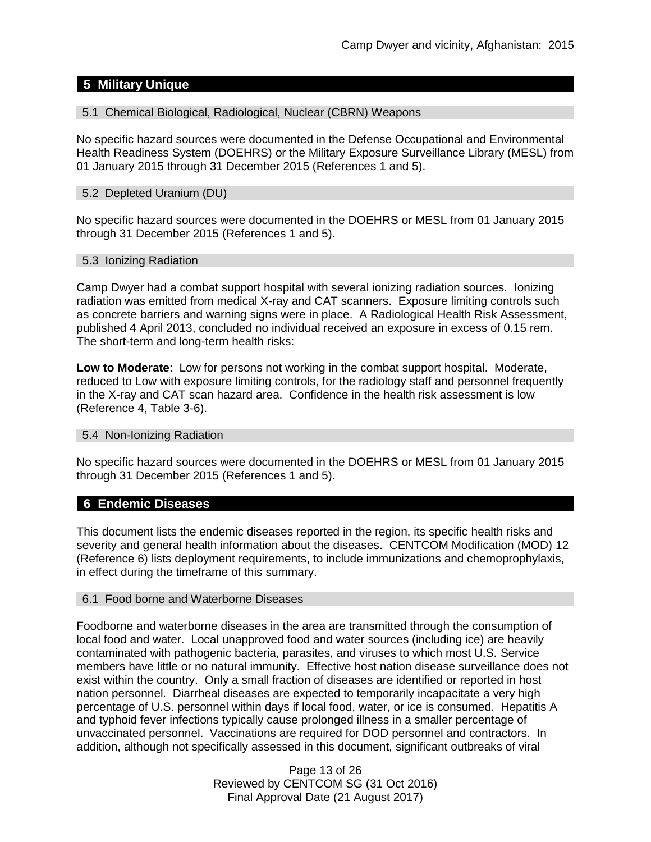# **5 Military Unique**

#### 5.1 Chemical Biological, Radiological, Nuclear (CBRN) Weapons

No specific hazard sources were documented in the Defense Occupational and Environmental Health Readiness System (DOEHRS) or the Military Exposure Surveillance Library (MESL) from 01 January 2015 through 31 December 2015 (References 1 and 5).

#### 5.2 Depleted Uranium (DU)

No specific hazard sources were documented in the DOEHRS or MESL from 01 January 2015 through 31 December 2015 (References 1 and 5).

#### 5.3 Ionizing Radiation

Camp Dwyer had a combat support hospital with several ionizing radiation sources. Ionizing radiation was emitted from medical X-ray and CAT scanners. Exposure limiting controls such as concrete barriers and warning signs were in place. A Radiological Health Risk Assessment, published 4 April 2013, concluded no individual received an exposure in excess of 0.15 rem. The short-term and long-term health risks:

**Low to Moderate**: Low for persons not working in the combat support hospital. Moderate, reduced to Low with exposure limiting controls, for the radiology staff and personnel frequently in the X-ray and CAT scan hazard area. Confidence in the health risk assessment is low (Reference 4, Table 3-6).

#### 5.4 Non-Ionizing Radiation

No specific hazard sources were documented in the DOEHRS or MESL from 01 January 2015 through 31 December 2015 (References 1 and 5).

### **6 Endemic Diseases**

This document lists the endemic diseases reported in the region, its specific health risks and severity and general health information about the diseases. CENTCOM Modification (MOD) 12 (Reference 6) lists deployment requirements, to include immunizations and chemoprophylaxis, in effect during the timeframe of this summary.

#### 6.1 Food borne and Waterborne Diseases

Foodborne and waterborne diseases in the area are transmitted through the consumption of local food and water. Local unapproved food and water sources (including ice) are heavily contaminated with pathogenic bacteria, parasites, and viruses to which most U.S. Service members have little or no natural immunity. Effective host nation disease surveillance does not exist within the country. Only a small fraction of diseases are identified or reported in host nation personnel. Diarrheal diseases are expected to temporarily incapacitate a very high percentage of U.S. personnel within days if local food, water, or ice is consumed. Hepatitis A and typhoid fever infections typically cause prolonged illness in a smaller percentage of unvaccinated personnel. Vaccinations are required for DOD personnel and contractors. In addition, although not specifically assessed in this document, significant outbreaks of viral

> Page 13 of 26 Reviewed by CENTCOM SG (31 Oct 2016) Final Approval Date (21 August 2017)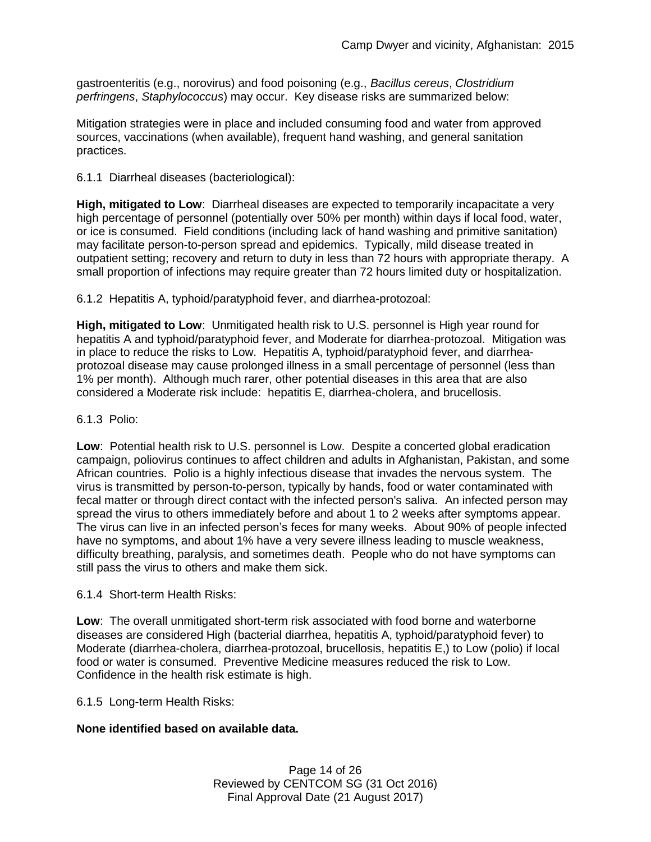gastroenteritis (e.g., norovirus) and food poisoning (e.g., *Bacillus cereus*, *Clostridium perfringens*, *Staphylococcus*) may occur. Key disease risks are summarized below:

Mitigation strategies were in place and included consuming food and water from approved sources, vaccinations (when available), frequent hand washing, and general sanitation practices.

6.1.1 Diarrheal diseases (bacteriological):

**High, mitigated to Low**: Diarrheal diseases are expected to temporarily incapacitate a very high percentage of personnel (potentially over 50% per month) within days if local food, water, or ice is consumed. Field conditions (including lack of hand washing and primitive sanitation) may facilitate person-to-person spread and epidemics. Typically, mild disease treated in outpatient setting; recovery and return to duty in less than 72 hours with appropriate therapy. A small proportion of infections may require greater than 72 hours limited duty or hospitalization.

6.1.2 Hepatitis A, typhoid/paratyphoid fever, and diarrhea-protozoal:

**High, mitigated to Low**: Unmitigated health risk to U.S. personnel is High year round for hepatitis A and typhoid/paratyphoid fever, and Moderate for diarrhea-protozoal. Mitigation was in place to reduce the risks to Low. Hepatitis A, typhoid/paratyphoid fever, and diarrheaprotozoal disease may cause prolonged illness in a small percentage of personnel (less than 1% per month). Although much rarer, other potential diseases in this area that are also considered a Moderate risk include: hepatitis E, diarrhea-cholera, and brucellosis.

### 6.1.3 Polio:

**Low**: Potential health risk to U.S. personnel is Low. Despite a concerted global eradication campaign, poliovirus continues to affect children and adults in Afghanistan, Pakistan, and some African countries. Polio is a highly infectious disease that invades the nervous system. The virus is transmitted by person-to-person, typically by hands, food or water contaminated with fecal matter or through direct contact with the infected person's saliva. An infected person may spread the virus to others immediately before and about 1 to 2 weeks after symptoms appear. The virus can live in an infected person's feces for many weeks. About 90% of people infected have no symptoms, and about 1% have a very severe illness leading to muscle weakness, difficulty breathing, paralysis, and sometimes death. People who do not have symptoms can still pass the virus to others and make them sick.

6.1.4 Short-term Health Risks:

**Low**: The overall unmitigated short-term risk associated with food borne and waterborne diseases are considered High (bacterial diarrhea, hepatitis A, typhoid/paratyphoid fever) to Moderate (diarrhea-cholera, diarrhea-protozoal, brucellosis, hepatitis E,) to Low (polio) if local food or water is consumed. Preventive Medicine measures reduced the risk to Low. Confidence in the health risk estimate is high.

6.1.5 Long-term Health Risks:

# **None identified based on available data.**

Page 14 of 26 Reviewed by CENTCOM SG (31 Oct 2016) Final Approval Date (21 August 2017)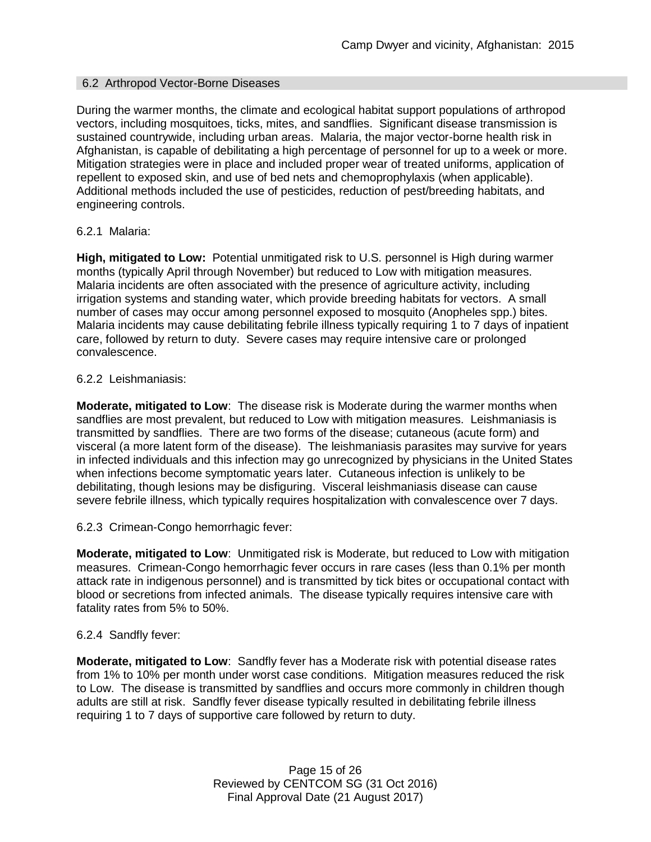### 6.2 Arthropod Vector-Borne Diseases

During the warmer months, the climate and ecological habitat support populations of arthropod vectors, including mosquitoes, ticks, mites, and sandflies. Significant disease transmission is sustained countrywide, including urban areas. Malaria, the major vector-borne health risk in Afghanistan, is capable of debilitating a high percentage of personnel for up to a week or more. Mitigation strategies were in place and included proper wear of treated uniforms, application of repellent to exposed skin, and use of bed nets and chemoprophylaxis (when applicable). Additional methods included the use of pesticides, reduction of pest/breeding habitats, and engineering controls.

#### 6.2.1 Malaria:

**High, mitigated to Low:** Potential unmitigated risk to U.S. personnel is High during warmer months (typically April through November) but reduced to Low with mitigation measures. Malaria incidents are often associated with the presence of agriculture activity, including irrigation systems and standing water, which provide breeding habitats for vectors. A small number of cases may occur among personnel exposed to mosquito (Anopheles spp.) bites. Malaria incidents may cause debilitating febrile illness typically requiring 1 to 7 days of inpatient care, followed by return to duty. Severe cases may require intensive care or prolonged convalescence.

#### 6.2.2 Leishmaniasis:

**Moderate, mitigated to Low**: The disease risk is Moderate during the warmer months when sandflies are most prevalent, but reduced to Low with mitigation measures. Leishmaniasis is transmitted by sandflies. There are two forms of the disease; cutaneous (acute form) and visceral (a more latent form of the disease). The leishmaniasis parasites may survive for years in infected individuals and this infection may go unrecognized by physicians in the United States when infections become symptomatic years later. Cutaneous infection is unlikely to be debilitating, though lesions may be disfiguring. Visceral leishmaniasis disease can cause severe febrile illness, which typically requires hospitalization with convalescence over 7 days.

### 6.2.3 Crimean-Congo hemorrhagic fever:

**Moderate, mitigated to Low**: Unmitigated risk is Moderate, but reduced to Low with mitigation measures. Crimean-Congo hemorrhagic fever occurs in rare cases (less than 0.1% per month attack rate in indigenous personnel) and is transmitted by tick bites or occupational contact with blood or secretions from infected animals. The disease typically requires intensive care with fatality rates from 5% to 50%.

### 6.2.4 Sandfly fever:

**Moderate, mitigated to Low**: Sandfly fever has a Moderate risk with potential disease rates from 1% to 10% per month under worst case conditions. Mitigation measures reduced the risk to Low. The disease is transmitted by sandflies and occurs more commonly in children though adults are still at risk. Sandfly fever disease typically resulted in debilitating febrile illness requiring 1 to 7 days of supportive care followed by return to duty.

> Page 15 of 26 Reviewed by CENTCOM SG (31 Oct 2016) Final Approval Date (21 August 2017)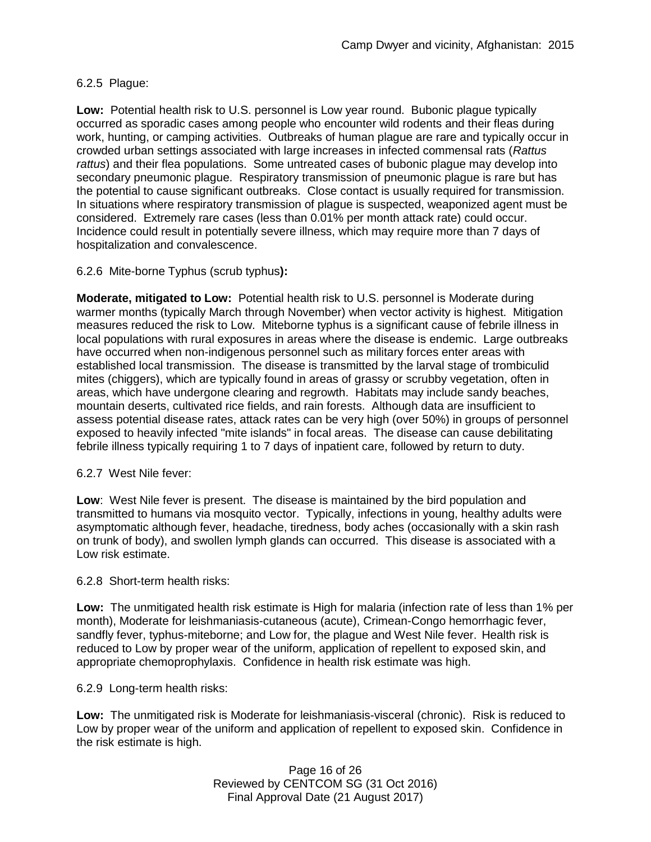# 6.2.5 Plague:

**Low:** Potential health risk to U.S. personnel is Low year round. Bubonic plague typically occurred as sporadic cases among people who encounter wild rodents and their fleas during work, hunting, or camping activities. Outbreaks of human plague are rare and typically occur in crowded urban settings associated with large increases in infected commensal rats (*Rattus rattus*) and their flea populations. Some untreated cases of bubonic plague may develop into secondary pneumonic plague. Respiratory transmission of pneumonic plague is rare but has the potential to cause significant outbreaks. Close contact is usually required for transmission. In situations where respiratory transmission of plague is suspected, weaponized agent must be considered. Extremely rare cases (less than 0.01% per month attack rate) could occur. Incidence could result in potentially severe illness, which may require more than 7 days of hospitalization and convalescence.

# 6.2.6 Mite-borne Typhus (scrub typhus**):**

**Moderate, mitigated to Low:** Potential health risk to U.S. personnel is Moderate during warmer months (typically March through November) when vector activity is highest. Mitigation measures reduced the risk to Low. Miteborne typhus is a significant cause of febrile illness in local populations with rural exposures in areas where the disease is endemic. Large outbreaks have occurred when non-indigenous personnel such as military forces enter areas with established local transmission. The disease is transmitted by the larval stage of trombiculid mites (chiggers), which are typically found in areas of grassy or scrubby vegetation, often in areas, which have undergone clearing and regrowth. Habitats may include sandy beaches, mountain deserts, cultivated rice fields, and rain forests. Although data are insufficient to assess potential disease rates, attack rates can be very high (over 50%) in groups of personnel exposed to heavily infected "mite islands" in focal areas. The disease can cause debilitating febrile illness typically requiring 1 to 7 days of inpatient care, followed by return to duty.

### 6.2.7 West Nile fever:

**Low**: West Nile fever is present. The disease is maintained by the bird population and transmitted to humans via mosquito vector. Typically, infections in young, healthy adults were asymptomatic although fever, headache, tiredness, body aches (occasionally with a skin rash on trunk of body), and swollen lymph glands can occurred. This disease is associated with a Low risk estimate.

6.2.8 Short-term health risks:

**Low:** The unmitigated health risk estimate is High for malaria (infection rate of less than 1% per month), Moderate for leishmaniasis-cutaneous (acute), Crimean-Congo hemorrhagic fever, sandfly fever, typhus-miteborne; and Low for, the plague and West Nile fever. Health risk is reduced to Low by proper wear of the uniform, application of repellent to exposed skin, and appropriate chemoprophylaxis. Confidence in health risk estimate was high.

6.2.9 Long-term health risks:

**Low:** The unmitigated risk is Moderate for leishmaniasis-visceral (chronic). Risk is reduced to Low by proper wear of the uniform and application of repellent to exposed skin. Confidence in the risk estimate is high.

> Page 16 of 26 Reviewed by CENTCOM SG (31 Oct 2016) Final Approval Date (21 August 2017)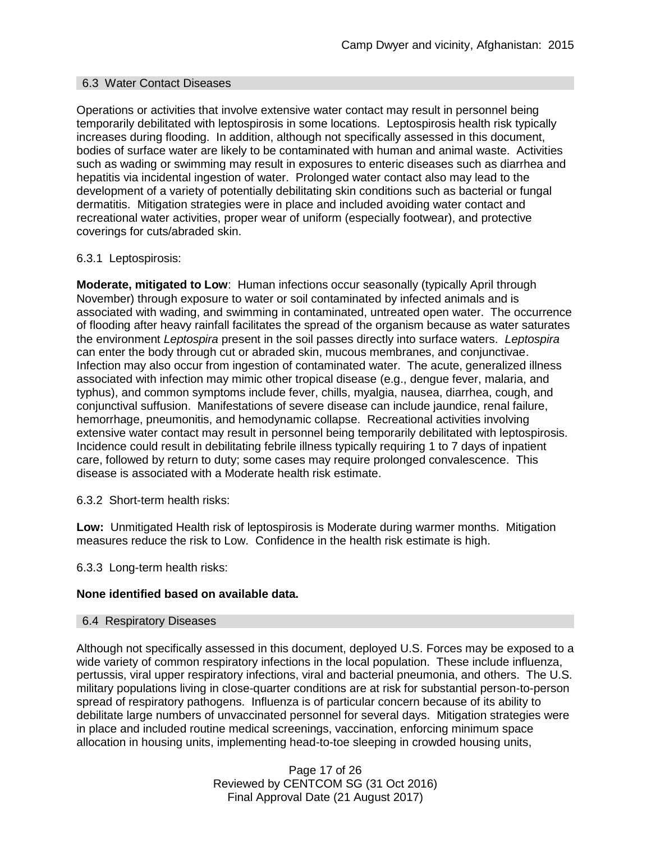### 6.3 Water Contact Diseases

Operations or activities that involve extensive water contact may result in personnel being temporarily debilitated with leptospirosis in some locations. Leptospirosis health risk typically increases during flooding. In addition, although not specifically assessed in this document, bodies of surface water are likely to be contaminated with human and animal waste. Activities such as wading or swimming may result in exposures to enteric diseases such as diarrhea and hepatitis via incidental ingestion of water. Prolonged water contact also may lead to the development of a variety of potentially debilitating skin conditions such as bacterial or fungal dermatitis. Mitigation strategies were in place and included avoiding water contact and recreational water activities, proper wear of uniform (especially footwear), and protective coverings for cuts/abraded skin.

### 6.3.1 Leptospirosis:

**Moderate, mitigated to Low**: Human infections occur seasonally (typically April through November) through exposure to water or soil contaminated by infected animals and is associated with wading, and swimming in contaminated, untreated open water. The occurrence of flooding after heavy rainfall facilitates the spread of the organism because as water saturates the environment *Leptospira* present in the soil passes directly into surface waters. *Leptospira* can enter the body through cut or abraded skin, mucous membranes, and conjunctivae. Infection may also occur from ingestion of contaminated water. The acute, generalized illness associated with infection may mimic other tropical disease (e.g., dengue fever, malaria, and typhus), and common symptoms include fever, chills, myalgia, nausea, diarrhea, cough, and conjunctival suffusion. Manifestations of severe disease can include jaundice, renal failure, hemorrhage, pneumonitis, and hemodynamic collapse. Recreational activities involving extensive water contact may result in personnel being temporarily debilitated with leptospirosis. Incidence could result in debilitating febrile illness typically requiring 1 to 7 days of inpatient care, followed by return to duty; some cases may require prolonged convalescence. This disease is associated with a Moderate health risk estimate.

6.3.2 Short-term health risks:

**Low:** Unmitigated Health risk of leptospirosis is Moderate during warmer months. Mitigation measures reduce the risk to Low. Confidence in the health risk estimate is high.

6.3.3 Long-term health risks:

### **None identified based on available data.**

#### 6.4 Respiratory Diseases

Although not specifically assessed in this document, deployed U.S. Forces may be exposed to a wide variety of common respiratory infections in the local population. These include influenza, pertussis, viral upper respiratory infections, viral and bacterial pneumonia, and others. The U.S. military populations living in close-quarter conditions are at risk for substantial person-to-person spread of respiratory pathogens. Influenza is of particular concern because of its ability to debilitate large numbers of unvaccinated personnel for several days. Mitigation strategies were in place and included routine medical screenings, vaccination, enforcing minimum space allocation in housing units, implementing head-to-toe sleeping in crowded housing units,

> Page 17 of 26 Reviewed by CENTCOM SG (31 Oct 2016) Final Approval Date (21 August 2017)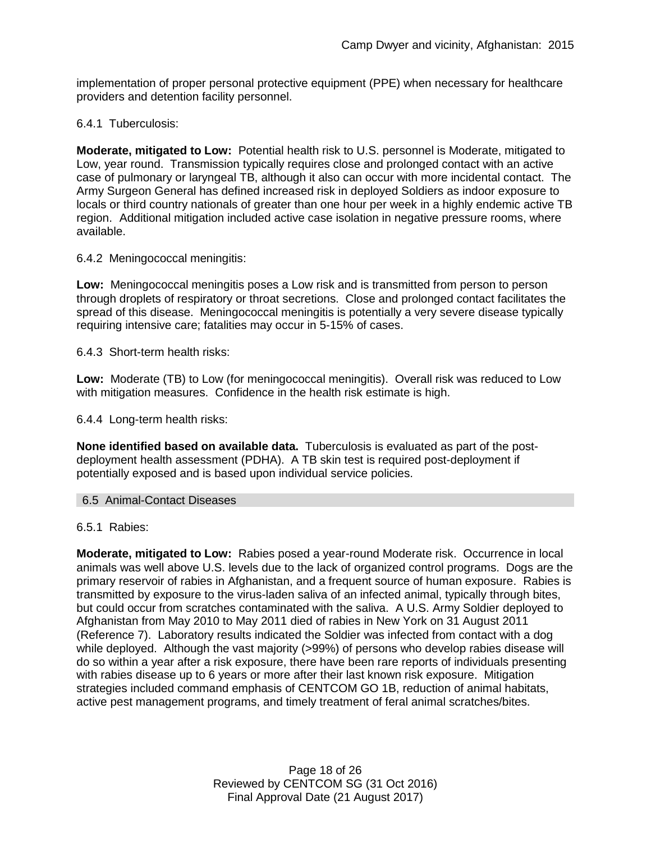implementation of proper personal protective equipment (PPE) when necessary for healthcare providers and detention facility personnel.

### 6.4.1 Tuberculosis:

**Moderate, mitigated to Low:** Potential health risk to U.S. personnel is Moderate, mitigated to Low, year round. Transmission typically requires close and prolonged contact with an active case of pulmonary or laryngeal TB, although it also can occur with more incidental contact. The Army Surgeon General has defined increased risk in deployed Soldiers as indoor exposure to locals or third country nationals of greater than one hour per week in a highly endemic active TB region. Additional mitigation included active case isolation in negative pressure rooms, where available.

6.4.2 Meningococcal meningitis:

**Low:** Meningococcal meningitis poses a Low risk and is transmitted from person to person through droplets of respiratory or throat secretions. Close and prolonged contact facilitates the spread of this disease. Meningococcal meningitis is potentially a very severe disease typically requiring intensive care; fatalities may occur in 5-15% of cases.

6.4.3 Short-term health risks:

**Low:** Moderate (TB) to Low (for meningococcal meningitis). Overall risk was reduced to Low with mitigation measures. Confidence in the health risk estimate is high.

6.4.4 Long-term health risks:

**None identified based on available data.** Tuberculosis is evaluated as part of the postdeployment health assessment (PDHA). A TB skin test is required post-deployment if potentially exposed and is based upon individual service policies.

6.5 Animal-Contact Diseases

6.5.1 Rabies:

**Moderate, mitigated to Low:** Rabies posed a year-round Moderate risk. Occurrence in local animals was well above U.S. levels due to the lack of organized control programs. Dogs are the primary reservoir of rabies in Afghanistan, and a frequent source of human exposure. Rabies is transmitted by exposure to the virus-laden saliva of an infected animal, typically through bites, but could occur from scratches contaminated with the saliva. A U.S. Army Soldier deployed to Afghanistan from May 2010 to May 2011 died of rabies in New York on 31 August 2011 (Reference 7). Laboratory results indicated the Soldier was infected from contact with a dog while deployed. Although the vast majority (>99%) of persons who develop rabies disease will do so within a year after a risk exposure, there have been rare reports of individuals presenting with rabies disease up to 6 years or more after their last known risk exposure. Mitigation strategies included command emphasis of CENTCOM GO 1B, reduction of animal habitats, active pest management programs, and timely treatment of feral animal scratches/bites.

> Page 18 of 26 Reviewed by CENTCOM SG (31 Oct 2016) Final Approval Date (21 August 2017)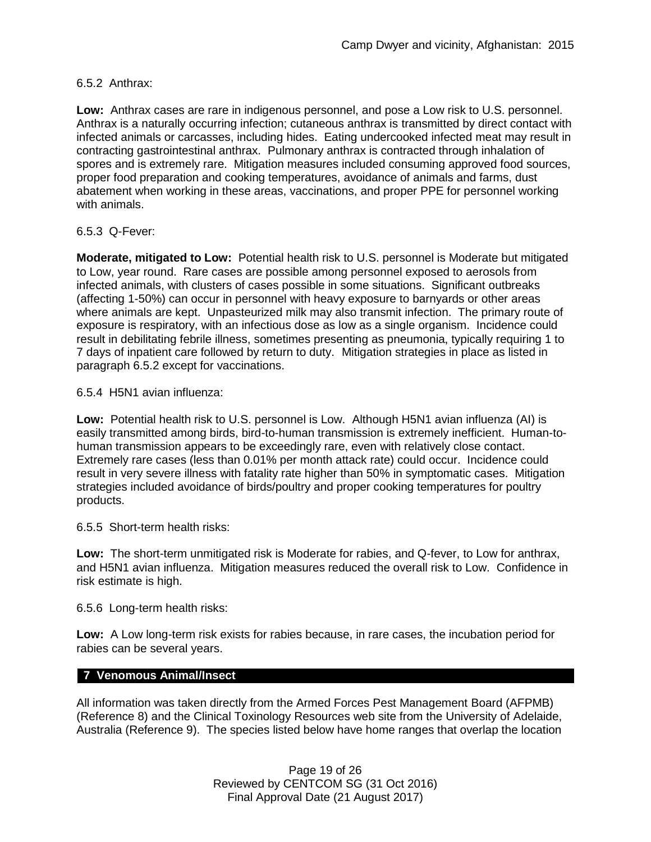### 6.5.2 Anthrax:

**Low:** Anthrax cases are rare in indigenous personnel, and pose a Low risk to U.S. personnel. Anthrax is a naturally occurring infection; cutaneous anthrax is transmitted by direct contact with infected animals or carcasses, including hides. Eating undercooked infected meat may result in contracting gastrointestinal anthrax. Pulmonary anthrax is contracted through inhalation of spores and is extremely rare. Mitigation measures included consuming approved food sources, proper food preparation and cooking temperatures, avoidance of animals and farms, dust abatement when working in these areas, vaccinations, and proper PPE for personnel working with animals.

### 6.5.3 Q-Fever:

**Moderate, mitigated to Low:** Potential health risk to U.S. personnel is Moderate but mitigated to Low, year round. Rare cases are possible among personnel exposed to aerosols from infected animals, with clusters of cases possible in some situations. Significant outbreaks (affecting 1-50%) can occur in personnel with heavy exposure to barnyards or other areas where animals are kept. Unpasteurized milk may also transmit infection. The primary route of exposure is respiratory, with an infectious dose as low as a single organism. Incidence could result in debilitating febrile illness, sometimes presenting as pneumonia, typically requiring 1 to 7 days of inpatient care followed by return to duty. Mitigation strategies in place as listed in paragraph 6.5.2 except for vaccinations.

6.5.4 H5N1 avian influenza:

**Low:** Potential health risk to U.S. personnel is Low. Although H5N1 avian influenza (AI) is easily transmitted among birds, bird-to-human transmission is extremely inefficient. Human-tohuman transmission appears to be exceedingly rare, even with relatively close contact. Extremely rare cases (less than 0.01% per month attack rate) could occur. Incidence could result in very severe illness with fatality rate higher than 50% in symptomatic cases. Mitigation strategies included avoidance of birds/poultry and proper cooking temperatures for poultry products.

6.5.5 Short-term health risks:

**Low:** The short-term unmitigated risk is Moderate for rabies, and Q-fever, to Low for anthrax, and H5N1 avian influenza. Mitigation measures reduced the overall risk to Low.Confidence in risk estimate is high.

6.5.6 Long-term health risks:

**Low:** A Low long-term risk exists for rabies because, in rare cases, the incubation period for rabies can be several years.

### **7 Venomous Animal/Insect**

All information was taken directly from the Armed Forces Pest Management Board (AFPMB) (Reference 8) and the Clinical Toxinology Resources web site from the University of Adelaide, Australia (Reference 9). The species listed below have home ranges that overlap the location

> Page 19 of 26 Reviewed by CENTCOM SG (31 Oct 2016) Final Approval Date (21 August 2017)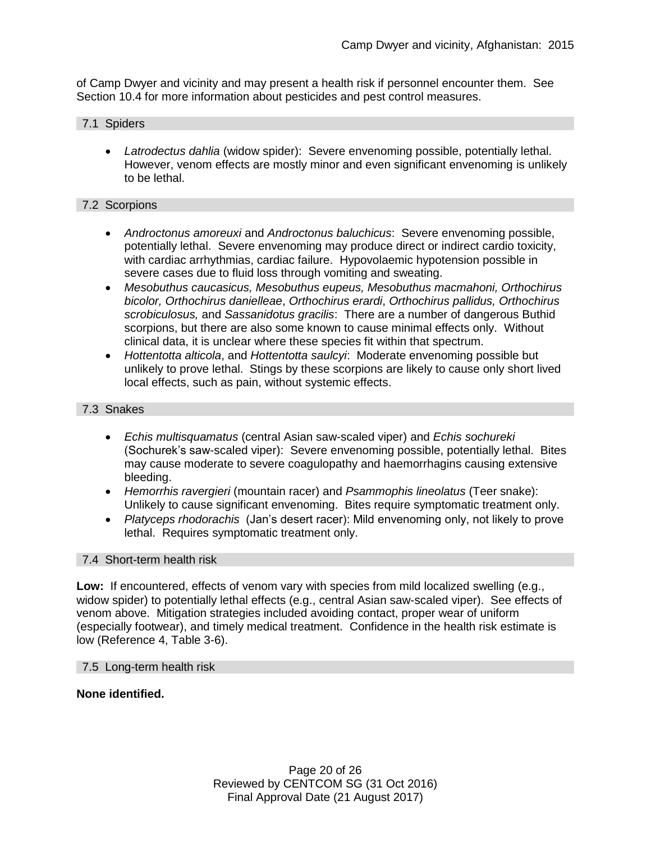of Camp Dwyer and vicinity and may present a health risk if personnel encounter them. See Section 10.4 for more information about pesticides and pest control measures.

# 7.1 Spiders

 *Latrodectus dahlia* (widow spider): Severe envenoming possible, potentially lethal. However, venom effects are mostly minor and even significant envenoming is unlikely to be lethal.

#### 7.2 Scorpions

- *Androctonus amoreuxi* and *Androctonus baluchicus*: Severe envenoming possible, potentially lethal. Severe envenoming may produce direct or indirect cardio toxicity, with cardiac arrhythmias, cardiac failure. Hypovolaemic hypotension possible in severe cases due to fluid loss through vomiting and sweating.
- *Mesobuthus caucasicus, Mesobuthus eupeus, Mesobuthus macmahoni, Orthochirus bicolor, Orthochirus danielleae*, *Orthochirus erardi*, *Orthochirus pallidus, Orthochirus scrobiculosus,* and *Sassanidotus gracilis*: There are a number of dangerous Buthid scorpions, but there are also some known to cause minimal effects only. Without clinical data, it is unclear where these species fit within that spectrum.
- *Hottentotta alticola*, and *Hottentotta saulcyi*: Moderate envenoming possible but unlikely to prove lethal. Stings by these scorpions are likely to cause only short lived local effects, such as pain, without systemic effects.

#### 7.3 Snakes

- *Echis multisquamatus* (central Asian saw-scaled viper) and *Echis sochureki* (Sochurek's saw-scaled viper): Severe envenoming possible, potentially lethal. Bites may cause moderate to severe coagulopathy and haemorrhagins causing extensive bleeding.
- *Hemorrhis ravergieri* (mountain racer) and *Psammophis lineolatus* (Teer snake): Unlikely to cause significant envenoming. Bites require symptomatic treatment only.
- *Platyceps rhodorachis* (Jan's desert racer): Mild envenoming only, not likely to prove lethal. Requires symptomatic treatment only.

#### 7.4 Short-term health risk

**Low:** If encountered, effects of venom vary with species from mild localized swelling (e.g., widow spider) to potentially lethal effects (e.g., central Asian saw-scaled viper). See effects of venom above. Mitigation strategies included avoiding contact, proper wear of uniform (especially footwear), and timely medical treatment. Confidence in the health risk estimate is low (Reference 4, Table 3-6).

#### 7.5 Long-term health risk

#### **None identified.**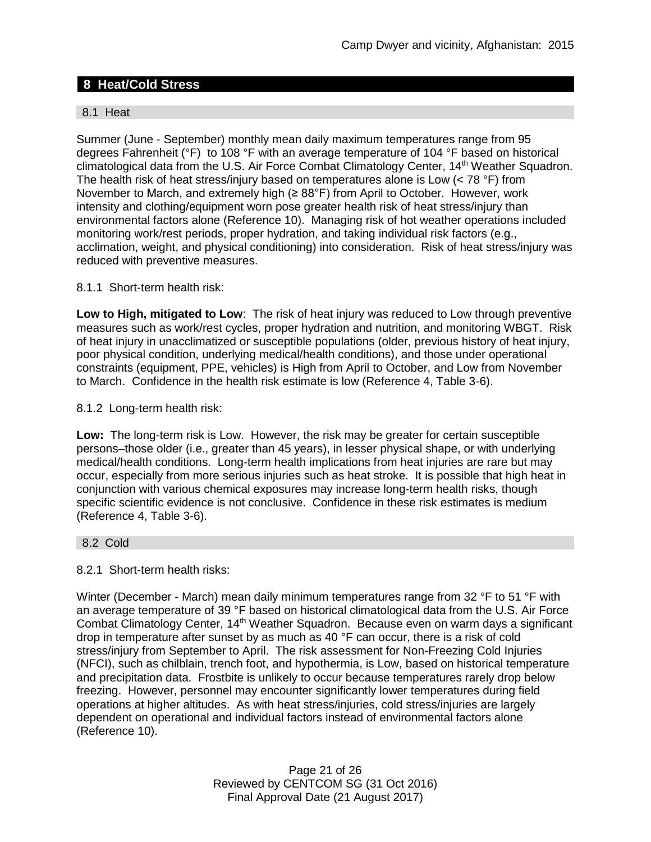# **8 Heat/Cold Stress**

### 8.1 Heat

Summer (June - September) monthly mean daily maximum temperatures range from 95 degrees Fahrenheit (°F) to 108 °F with an average temperature of 104 °F based on historical climatological data from the U.S. Air Force Combat Climatology Center, 14<sup>th</sup> Weather Squadron. The health risk of heat stress/injury based on temperatures alone is Low  $(< 78 \degree F)$  from November to March, and extremely high (≥ 88°F) from April to October. However, work intensity and clothing/equipment worn pose greater health risk of heat stress/injury than environmental factors alone (Reference 10). Managing risk of hot weather operations included monitoring work/rest periods, proper hydration, and taking individual risk factors (e.g., acclimation, weight, and physical conditioning) into consideration. Risk of heat stress/injury was reduced with preventive measures.

### 8.1.1 Short-term health risk:

**Low to High, mitigated to Low**: The risk of heat injury was reduced to Low through preventive measures such as work/rest cycles, proper hydration and nutrition, and monitoring WBGT. Risk of heat injury in unacclimatized or susceptible populations (older, previous history of heat injury, poor physical condition, underlying medical/health conditions), and those under operational constraints (equipment, PPE, vehicles) is High from April to October, and Low from November to March. Confidence in the health risk estimate is low (Reference 4, Table 3-6).

#### 8.1.2 Long-term health risk:

**Low:** The long-term risk is Low. However, the risk may be greater for certain susceptible persons–those older (i.e., greater than 45 years), in lesser physical shape, or with underlying medical/health conditions. Long-term health implications from heat injuries are rare but may occur, especially from more serious injuries such as heat stroke. It is possible that high heat in conjunction with various chemical exposures may increase long-term health risks, though specific scientific evidence is not conclusive. Confidence in these risk estimates is medium (Reference 4, Table 3-6).

#### 8.2 Cold

#### 8.2.1 Short-term health risks:

Winter (December - March) mean daily minimum temperatures range from 32 °F to 51 °F with an average temperature of 39 °F based on historical climatological data from the U.S. Air Force Combat Climatology Center, 14<sup>th</sup> Weather Squadron. Because even on warm days a significant drop in temperature after sunset by as much as 40 °F can occur, there is a risk of cold stress/injury from September to April. The risk assessment for Non-Freezing Cold Injuries (NFCI), such as chilblain, trench foot, and hypothermia, is Low, based on historical temperature and precipitation data. Frostbite is unlikely to occur because temperatures rarely drop below freezing. However, personnel may encounter significantly lower temperatures during field operations at higher altitudes. As with heat stress/injuries, cold stress/injuries are largely dependent on operational and individual factors instead of environmental factors alone (Reference 10).

> Page 21 of 26 Reviewed by CENTCOM SG (31 Oct 2016) Final Approval Date (21 August 2017)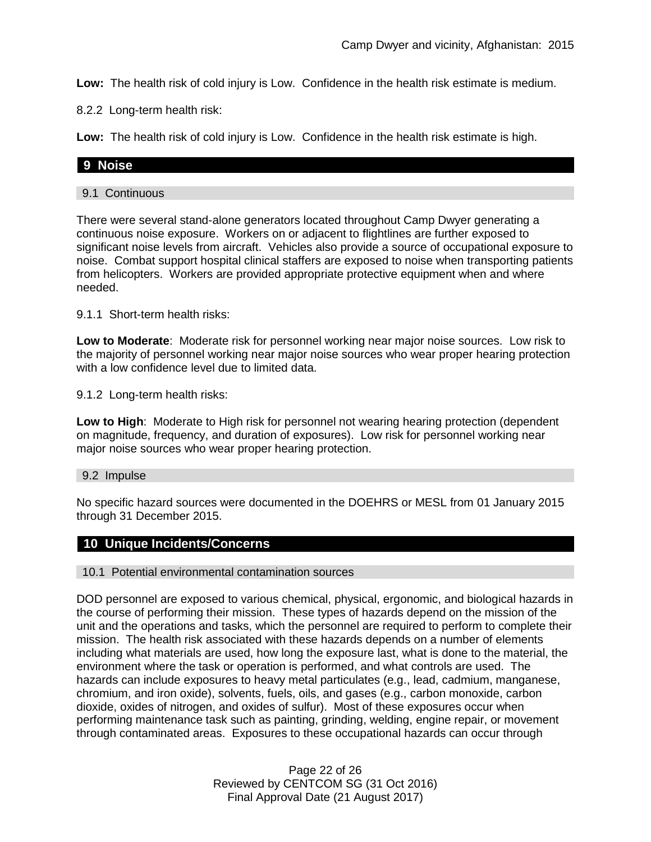**Low:** The health risk of cold injury is Low. Confidence in the health risk estimate is medium.

8.2.2 Long-term health risk:

**Low:** The health risk of cold injury is Low. Confidence in the health risk estimate is high.

# **9 Noise**

### 9.1 Continuous

There were several stand-alone generators located throughout Camp Dwyer generating a continuous noise exposure. Workers on or adjacent to flightlines are further exposed to significant noise levels from aircraft. Vehicles also provide a source of occupational exposure to noise. Combat support hospital clinical staffers are exposed to noise when transporting patients from helicopters. Workers are provided appropriate protective equipment when and where needed.

9.1.1 Short-term health risks:

**Low to Moderate**: Moderate risk for personnel working near major noise sources. Low risk to the majority of personnel working near major noise sources who wear proper hearing protection with a low confidence level due to limited data.

9.1.2 Long-term health risks:

**Low to High**: Moderate to High risk for personnel not wearing hearing protection (dependent on magnitude, frequency, and duration of exposures). Low risk for personnel working near major noise sources who wear proper hearing protection.

#### 9.2 Impulse

No specific hazard sources were documented in the DOEHRS or MESL from 01 January 2015 through 31 December 2015.

# **10 Unique Incidents/Concerns**

#### 10.1 Potential environmental contamination sources

DOD personnel are exposed to various chemical, physical, ergonomic, and biological hazards in the course of performing their mission. These types of hazards depend on the mission of the unit and the operations and tasks, which the personnel are required to perform to complete their mission. The health risk associated with these hazards depends on a number of elements including what materials are used, how long the exposure last, what is done to the material, the environment where the task or operation is performed, and what controls are used. The hazards can include exposures to heavy metal particulates (e.g., lead, cadmium, manganese, chromium, and iron oxide), solvents, fuels, oils, and gases (e.g., carbon monoxide, carbon dioxide, oxides of nitrogen, and oxides of sulfur). Most of these exposures occur when performing maintenance task such as painting, grinding, welding, engine repair, or movement through contaminated areas. Exposures to these occupational hazards can occur through

> Page 22 of 26 Reviewed by CENTCOM SG (31 Oct 2016) Final Approval Date (21 August 2017)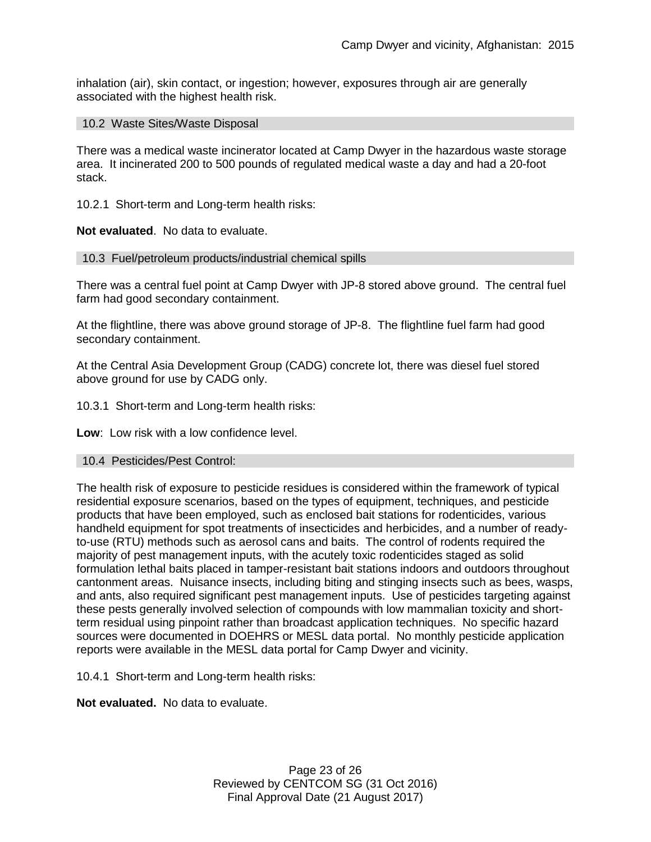inhalation (air), skin contact, or ingestion; however, exposures through air are generally associated with the highest health risk.

### 10.2 Waste Sites/Waste Disposal

There was a medical waste incinerator located at Camp Dwyer in the hazardous waste storage area. It incinerated 200 to 500 pounds of regulated medical waste a day and had a 20-foot stack.

10.2.1 Short-term and Long-term health risks:

**Not evaluated**. No data to evaluate.

#### 10.3 Fuel/petroleum products/industrial chemical spills

There was a central fuel point at Camp Dwyer with JP-8 stored above ground. The central fuel farm had good secondary containment.

At the flightline, there was above ground storage of JP-8. The flightline fuel farm had good secondary containment.

At the Central Asia Development Group (CADG) concrete lot, there was diesel fuel stored above ground for use by CADG only.

10.3.1 Short-term and Long-term health risks:

**Low**: Low risk with a low confidence level.

#### 10.4 Pesticides/Pest Control:

The health risk of exposure to pesticide residues is considered within the framework of typical residential exposure scenarios, based on the types of equipment, techniques, and pesticide products that have been employed, such as enclosed bait stations for rodenticides, various handheld equipment for spot treatments of insecticides and herbicides, and a number of readyto-use (RTU) methods such as aerosol cans and baits. The control of rodents required the majority of pest management inputs, with the acutely toxic rodenticides staged as solid formulation lethal baits placed in tamper-resistant bait stations indoors and outdoors throughout cantonment areas. Nuisance insects, including biting and stinging insects such as bees, wasps, and ants, also required significant pest management inputs. Use of pesticides targeting against these pests generally involved selection of compounds with low mammalian toxicity and shortterm residual using pinpoint rather than broadcast application techniques. No specific hazard sources were documented in DOEHRS or MESL data portal. No monthly pesticide application reports were available in the MESL data portal for Camp Dwyer and vicinity.

10.4.1 Short-term and Long-term health risks:

**Not evaluated.** No data to evaluate.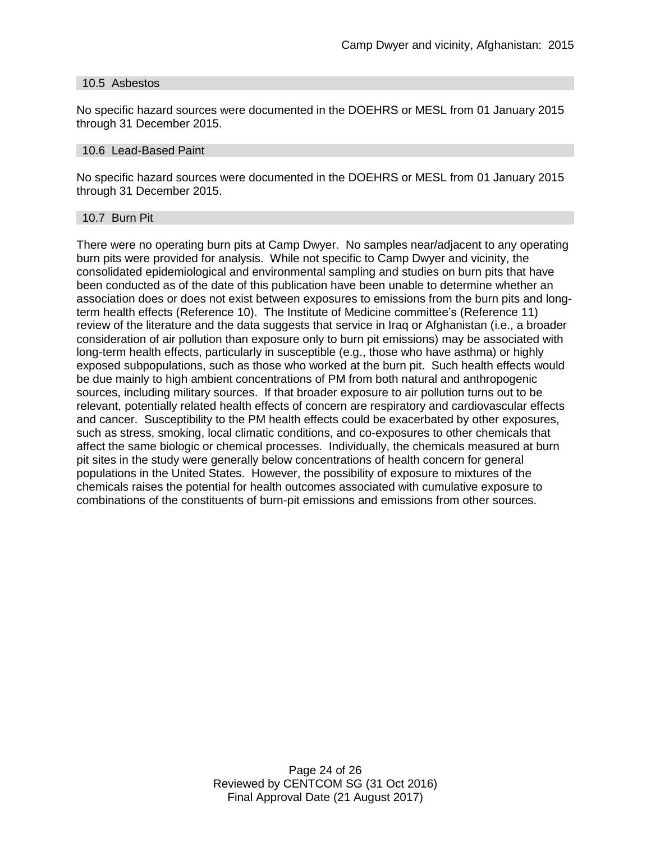#### 10.5 Asbestos

No specific hazard sources were documented in the DOEHRS or MESL from 01 January 2015 through 31 December 2015.

#### 10.6 Lead-Based Paint

No specific hazard sources were documented in the DOEHRS or MESL from 01 January 2015 through 31 December 2015.

#### 10.7 Burn Pit

There were no operating burn pits at Camp Dwyer. No samples near/adjacent to any operating burn pits were provided for analysis. While not specific to Camp Dwyer and vicinity, the consolidated epidemiological and environmental sampling and studies on burn pits that have been conducted as of the date of this publication have been unable to determine whether an association does or does not exist between exposures to emissions from the burn pits and longterm health effects (Reference 10). The Institute of Medicine committee's (Reference 11) review of the literature and the data suggests that service in Iraq or Afghanistan (i.e., a broader consideration of air pollution than exposure only to burn pit emissions) may be associated with long-term health effects, particularly in susceptible (e.g., those who have asthma) or highly exposed subpopulations, such as those who worked at the burn pit. Such health effects would be due mainly to high ambient concentrations of PM from both natural and anthropogenic sources, including military sources. If that broader exposure to air pollution turns out to be relevant, potentially related health effects of concern are respiratory and cardiovascular effects and cancer. Susceptibility to the PM health effects could be exacerbated by other exposures, such as stress, smoking, local climatic conditions, and co-exposures to other chemicals that affect the same biologic or chemical processes. Individually, the chemicals measured at burn pit sites in the study were generally below concentrations of health concern for general populations in the United States. However, the possibility of exposure to mixtures of the chemicals raises the potential for health outcomes associated with cumulative exposure to combinations of the constituents of burn-pit emissions and emissions from other sources.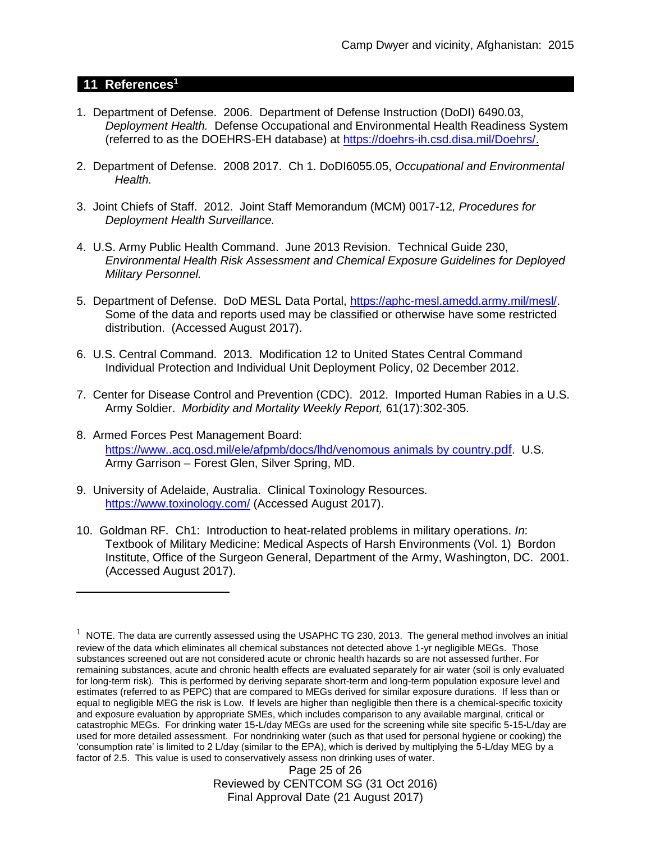# **11 References<sup>1</sup>**

 $\overline{a}$ 

- 1. Department of Defense. 2006. Department of Defense Instruction (DoDI) 6490.03, *Deployment Health.* Defense Occupational and Environmental Health Readiness System (referred to as the DOEHRS-EH database) at [https://doehrs-ih.csd.disa.mil/Doehrs/.](https://doehrs-ih.csd.disa.mil/Doehrs/)
- 2. Department of Defense. 2008 2017. Ch 1. DoDI6055.05, *Occupational and Environmental Health.*
- 3. Joint Chiefs of Staff. 2012. Joint Staff Memorandum (MCM) 0017-12*, Procedures for Deployment Health Surveillance.*
- 4. U.S. Army Public Health Command. June 2013 Revision. Technical Guide 230, *Environmental Health Risk Assessment and Chemical Exposure Guidelines for Deployed Military Personnel.*
- 5. Department of Defense. DoD MESL Data Portal, [https://aphc-mesl.amedd.army.mil/mesl/.](https://aphc-mesl.amedd.army.mil/mesl/) Some of the data and reports used may be classified or otherwise have some restricted distribution. (Accessed August 2017).
- 6. U.S. Central Command. 2013. Modification 12 to United States Central Command Individual Protection and Individual Unit Deployment Policy, 02 December 2012.
- 7. Center for Disease Control and Prevention (CDC). 2012. Imported Human Rabies in a U.S. Army Soldier. *Morbidity and Mortality Weekly Report,* 61(17):302-305.
- 8. Armed Forces Pest Management Board: [https://www..acq.osd.mil/ele/afpmb/docs/lhd/venomous animals by country.](https://www..acq.osd.mil/ele/afpmb/docs/lhd/venomous%20animals%20by%20country.pdf)pdf. U.S. Army Garrison – Forest Glen, Silver Spring, MD.
- 9. University of Adelaide, Australia. Clinical Toxinology Resources. <https://www.toxinology.com/> (Accessed August 2017).
- 10. Goldman RF. Ch1: Introduction to heat-related problems in military operations. *In*: Textbook of Military Medicine: Medical Aspects of Harsh Environments (Vol. 1) Bordon Institute, Office of the Surgeon General, Department of the Army, Washington, DC. 2001. (Accessed August 2017).

Page 25 of 26 Reviewed by CENTCOM SG (31 Oct 2016) Final Approval Date (21 August 2017)

 $1$  NOTE. The data are currently assessed using the USAPHC TG 230, 2013. The general method involves an initial review of the data which eliminates all chemical substances not detected above 1-yr negligible MEGs. Those substances screened out are not considered acute or chronic health hazards so are not assessed further. For remaining substances, acute and chronic health effects are evaluated separately for air water (soil is only evaluated for long-term risk). This is performed by deriving separate short-term and long-term population exposure level and estimates (referred to as PEPC) that are compared to MEGs derived for similar exposure durations. If less than or equal to negligible MEG the risk is Low. If levels are higher than negligible then there is a chemical-specific toxicity and exposure evaluation by appropriate SMEs, which includes comparison to any available marginal, critical or catastrophic MEGs. For drinking water 15-L/day MEGs are used for the screening while site specific 5-15-L/day are used for more detailed assessment. For nondrinking water (such as that used for personal hygiene or cooking) the 'consumption rate' is limited to 2 L/day (similar to the EPA), which is derived by multiplying the 5-L/day MEG by a factor of 2.5. This value is used to conservatively assess non drinking uses of water.